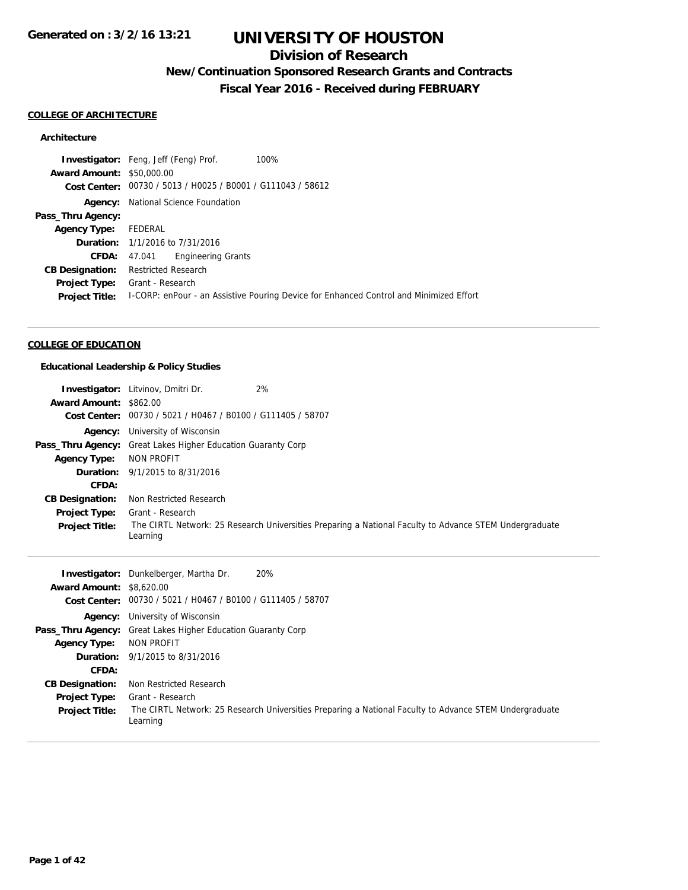## **Division of Research**

## **New/Continuation Sponsored Research Grants and Contracts**

**Fiscal Year 2016 - Received during FEBRUARY**

#### **COLLEGE OF ARCHITECTURE**

### **Architecture**

|                                  | <b>Investigator:</b> Feng, Jeff (Feng) Prof.<br>100%                                   |
|----------------------------------|----------------------------------------------------------------------------------------|
| <b>Award Amount: \$50,000.00</b> |                                                                                        |
|                                  | Cost Center: 00730 / 5013 / H0025 / B0001 / G111043 / 58612                            |
|                                  | <b>Agency:</b> National Science Foundation                                             |
| Pass_Thru Agency:                |                                                                                        |
| <b>Agency Type:</b>              | FEDERAL                                                                                |
|                                  | <b>Duration:</b> 1/1/2016 to 7/31/2016                                                 |
| <b>CFDA:</b>                     | 47.041 Engineering Grants                                                              |
| <b>CB Designation:</b>           | Restricted Research                                                                    |
| <b>Project Type:</b>             | Grant - Research                                                                       |
| <b>Project Title:</b>            | I-CORP: enPour - an Assistive Pouring Device for Enhanced Control and Minimized Effort |
|                                  |                                                                                        |

## **COLLEGE OF EDUCATION**

### **Educational Leadership & Policy Studies**

| Award Amount: \$862.00                                 | <b>Investigator:</b> Litvinov, Dmitri Dr.<br>Cost Center: 00730 / 5021 / H0467 / B0100 / G111405 / 58707                                                                                         | 2%                                                                                                     |
|--------------------------------------------------------|--------------------------------------------------------------------------------------------------------------------------------------------------------------------------------------------------|--------------------------------------------------------------------------------------------------------|
| <b>Agency Type:</b><br>CFDA:<br><b>CB Designation:</b> | <b>Agency:</b> University of Wisconsin<br><b>Pass_Thru Agency:</b> Great Lakes Higher Education Guaranty Corp<br>NON PROFIT<br><b>Duration:</b> 9/1/2015 to 8/31/2016<br>Non Restricted Research |                                                                                                        |
| Project Type:<br><b>Project Title:</b>                 | Grant - Research<br>Learning                                                                                                                                                                     | The CIRTL Network: 25 Research Universities Preparing a National Faculty to Advance STEM Undergraduate |
|                                                        |                                                                                                                                                                                                  |                                                                                                        |
| <b>Award Amount: \$8,620,00</b><br><b>Cost Center:</b> | <b>Investigator:</b> Dunkelberger, Martha Dr.<br>00730 / 5021 / H0467 / B0100 / G111405 / 58707                                                                                                  | 20%                                                                                                    |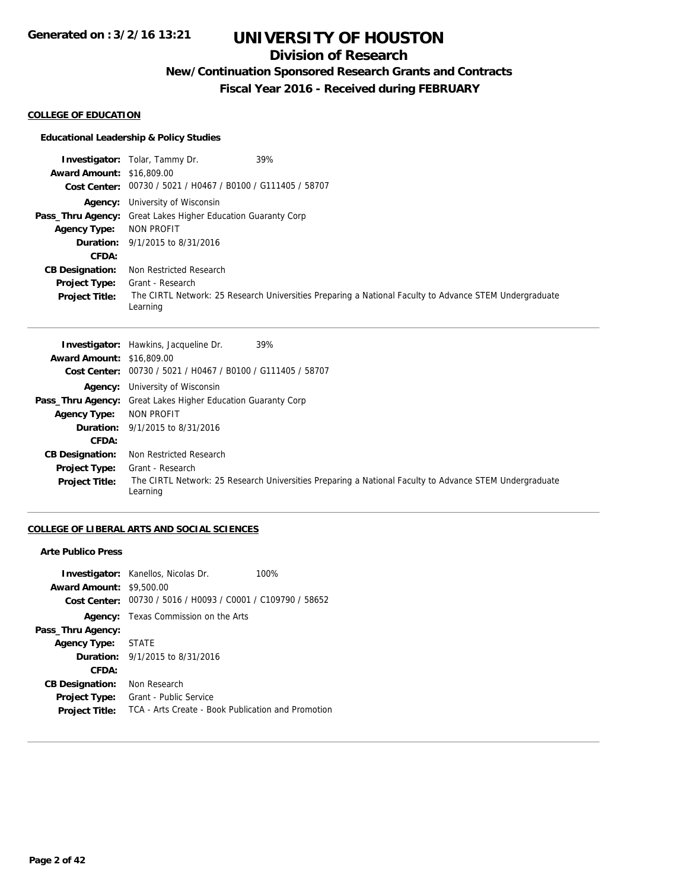## **Division of Research**

**New/Continuation Sponsored Research Grants and Contracts**

**Fiscal Year 2016 - Received during FEBRUARY**

### **COLLEGE OF EDUCATION**

### **Educational Leadership & Policy Studies**

|                                  | 39%<br><b>Investigator:</b> Tolar, Tammy Dr.                                                                       |
|----------------------------------|--------------------------------------------------------------------------------------------------------------------|
| <b>Award Amount: \$16,809.00</b> |                                                                                                                    |
|                                  | Cost Center: 00730 / 5021 / H0467 / B0100 / G111405 / 58707                                                        |
|                                  | <b>Agency:</b> University of Wisconsin                                                                             |
|                                  | <b>Pass_Thru Agency:</b> Great Lakes Higher Education Guaranty Corp                                                |
| <b>Agency Type:</b>              | NON PROFIT                                                                                                         |
|                                  | <b>Duration:</b> 9/1/2015 to 8/31/2016                                                                             |
| <b>CFDA:</b>                     |                                                                                                                    |
| <b>CB Designation:</b>           | Non Restricted Research                                                                                            |
| <b>Project Type:</b>             | Grant - Research                                                                                                   |
| <b>Project Title:</b>            | The CIRTL Network: 25 Research Universities Preparing a National Faculty to Advance STEM Undergraduate<br>Learning |

|                                  | 39%<br><b>Investigator:</b> Hawkins, Jacqueline Dr.                                                                |
|----------------------------------|--------------------------------------------------------------------------------------------------------------------|
| <b>Award Amount: \$16,809.00</b> |                                                                                                                    |
|                                  | Cost Center: 00730 / 5021 / H0467 / B0100 / G111405 / 58707                                                        |
|                                  | <b>Agency:</b> University of Wisconsin                                                                             |
|                                  | <b>Pass_Thru Agency:</b> Great Lakes Higher Education Guaranty Corp                                                |
| <b>Agency Type:</b>              | NON PROFIT                                                                                                         |
|                                  | <b>Duration:</b> 9/1/2015 to 8/31/2016                                                                             |
| CFDA:                            |                                                                                                                    |
| <b>CB Designation:</b>           | Non Restricted Research                                                                                            |
| <b>Project Type:</b>             | Grant - Research                                                                                                   |
| <b>Project Title:</b>            | The CIRTL Network: 25 Research Universities Preparing a National Faculty to Advance STEM Undergraduate<br>Learning |

### **COLLEGE OF LIBERAL ARTS AND SOCIAL SCIENCES**

### **Arte Publico Press**

| <b>Award Amount: \$9,500.00</b> | <b>Investigator:</b> Kanellos, Nicolas Dr.<br>Cost Center: 00730 / 5016 / H0093 / C0001 / C109790 / 58652 | 100% |
|---------------------------------|-----------------------------------------------------------------------------------------------------------|------|
|                                 | <b>Agency:</b> Texas Commission on the Arts                                                               |      |
| Pass_Thru Agency:               |                                                                                                           |      |
| Agency Type: STATE              |                                                                                                           |      |
|                                 | <b>Duration:</b> $9/1/2015$ to $8/31/2016$                                                                |      |
| CFDA:                           |                                                                                                           |      |
| <b>CB Designation:</b>          | Non Research                                                                                              |      |
| <b>Project Type:</b>            | Grant - Public Service                                                                                    |      |
| <b>Project Title:</b>           | TCA - Arts Create - Book Publication and Promotion                                                        |      |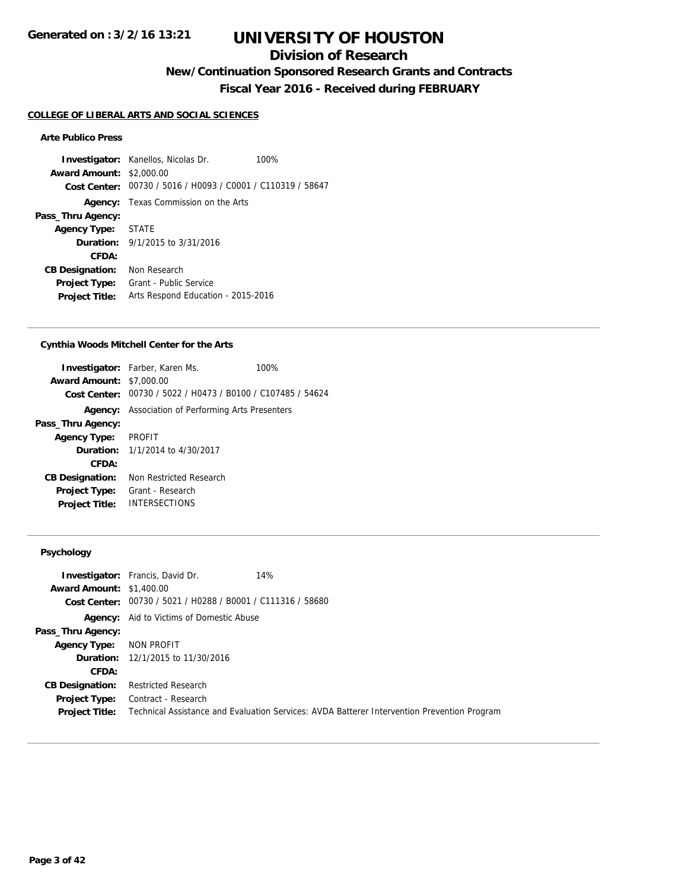## **Division of Research**

**New/Continuation Sponsored Research Grants and Contracts**

**Fiscal Year 2016 - Received during FEBRUARY**

#### **COLLEGE OF LIBERAL ARTS AND SOCIAL SCIENCES**

### **Arte Publico Press**

**Investigator:** Kanellos, Nicolas Dr. 100% **Award Amount:** \$2,000.00 **Cost Center:** 00730 / 5016 / H0093 / C0001 / C110319 / 58647 **Agency:** Texas Commission on the Arts **Pass\_Thru Agency: Agency Type:** STATE **Duration:** 9/1/2015 to 3/31/2016 **CFDA: CB Designation:** Non Research **Project Type:** Grant - Public Service **Project Title:** Arts Respond Education - 2015-2016

#### **Cynthia Woods Mitchell Center for the Arts**

|                                 | <b>Investigator:</b> Farber, Karen Ms.                      | 100% |
|---------------------------------|-------------------------------------------------------------|------|
| <b>Award Amount: \$7,000.00</b> |                                                             |      |
|                                 | Cost Center: 00730 / 5022 / H0473 / B0100 / C107485 / 54624 |      |
| Agency:                         | Association of Performing Arts Presenters                   |      |
| Pass_Thru Agency:               |                                                             |      |
| Agency Type: PROFIT             |                                                             |      |
|                                 | <b>Duration:</b> $1/1/2014$ to $4/30/2017$                  |      |
| CFDA:                           |                                                             |      |
| <b>CB Designation:</b>          | Non Restricted Research                                     |      |
| <b>Project Type:</b>            | Grant - Research                                            |      |
| <b>Project Title:</b>           | <b>INTERSECTIONS</b>                                        |      |

### **Psychology**

| <b>Award Amount: \$1,400.00</b> | <b>Investigator:</b> Francis, David Dr.<br>14%                                              |
|---------------------------------|---------------------------------------------------------------------------------------------|
|                                 |                                                                                             |
|                                 | Cost Center: 00730 / 5021 / H0288 / B0001 / C111316 / 58680                                 |
|                                 | <b>Agency:</b> Aid to Victims of Domestic Abuse                                             |
| Pass_Thru Agency:               |                                                                                             |
| Agency Type:                    | NON PROFIT                                                                                  |
|                                 | <b>Duration:</b> 12/1/2015 to 11/30/2016                                                    |
| CFDA:                           |                                                                                             |
| <b>CB Designation:</b>          | Restricted Research                                                                         |
| <b>Project Type:</b>            | Contract - Research                                                                         |
| <b>Project Title:</b>           | Technical Assistance and Evaluation Services: AVDA Batterer Intervention Prevention Program |
|                                 |                                                                                             |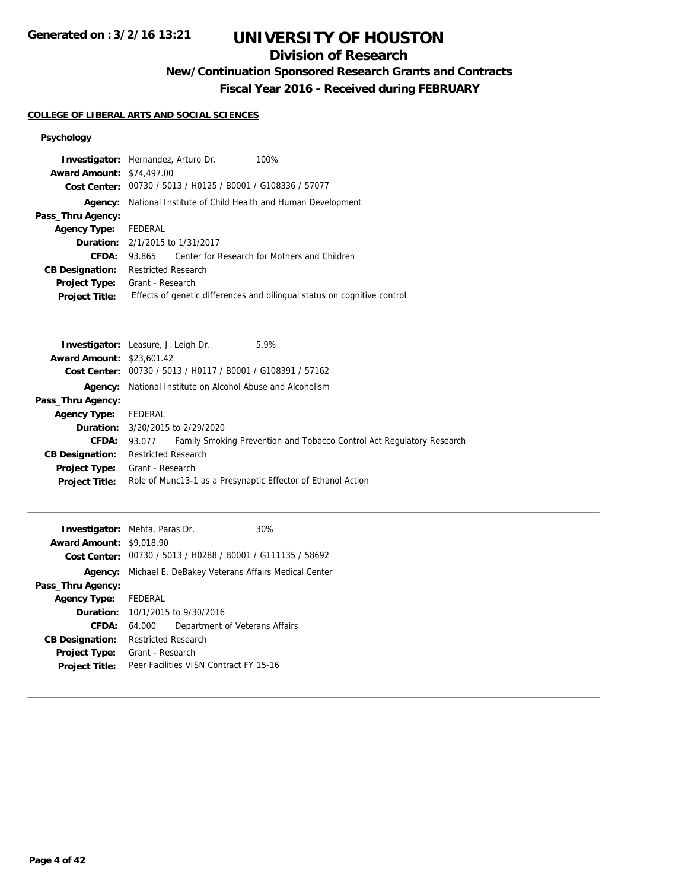## **Division of Research**

**New/Continuation Sponsored Research Grants and Contracts**

**Fiscal Year 2016 - Received during FEBRUARY**

## **COLLEGE OF LIBERAL ARTS AND SOCIAL SCIENCES**

### **Psychology**

| <b>Award Amount: \$74,497.00</b> | <b>Investigator:</b> Hernandez, Arturo Dr.<br>100%<br>Cost Center: 00730 / 5013 / H0125 / B0001 / G108336 / 57077 |
|----------------------------------|-------------------------------------------------------------------------------------------------------------------|
|                                  |                                                                                                                   |
| Agency:                          | National Institute of Child Health and Human Development                                                          |
| Pass_Thru Agency:                |                                                                                                                   |
| <b>Agency Type:</b>              | FEDERAL                                                                                                           |
|                                  | <b>Duration:</b> 2/1/2015 to 1/31/2017                                                                            |
| CFDA:                            | Center for Research for Mothers and Children<br>93.865                                                            |
| <b>CB Designation:</b>           | <b>Restricted Research</b>                                                                                        |
| <b>Project Type:</b>             | Grant - Research                                                                                                  |
| <b>Project Title:</b>            | Effects of genetic differences and bilingual status on cognitive control                                          |
|                                  |                                                                                                                   |

| <b>Investigator:</b> Leasure, J. Leigh Dr. |                            |                                                             | 5.9%                                                                  |
|--------------------------------------------|----------------------------|-------------------------------------------------------------|-----------------------------------------------------------------------|
| <b>Award Amount: \$23,601.42</b>           |                            |                                                             |                                                                       |
|                                            |                            | Cost Center: 00730 / 5013 / H0117 / B0001 / G108391 / 57162 |                                                                       |
| Agency:                                    |                            | National Institute on Alcohol Abuse and Alcoholism          |                                                                       |
| Pass_Thru Agency:                          |                            |                                                             |                                                                       |
| <b>Agency Type:</b>                        | FEDERAL                    |                                                             |                                                                       |
|                                            |                            | <b>Duration:</b> 3/20/2015 to 2/29/2020                     |                                                                       |
| <b>CFDA:</b>                               | 93.077                     |                                                             | Family Smoking Prevention and Tobacco Control Act Regulatory Research |
| <b>CB Designation:</b>                     | <b>Restricted Research</b> |                                                             |                                                                       |
| <b>Project Type:</b>                       | Grant - Research           |                                                             |                                                                       |
| <b>Project Title:</b>                      |                            |                                                             | Role of Munc13-1 as a Presynaptic Effector of Ethanol Action          |

| <b>Investigator:</b> Mehta, Paras Dr.<br><b>Award Amount: \$9,018.90</b> |                     | Cost Center: 00730 / 5013 / H0288 / B0001 / G111135 / 58692 | 30% |
|--------------------------------------------------------------------------|---------------------|-------------------------------------------------------------|-----|
|                                                                          |                     |                                                             |     |
|                                                                          |                     | Agency: Michael E. DeBakey Veterans Affairs Medical Center  |     |
| Pass_Thru Agency:                                                        |                     |                                                             |     |
| Agency Type: FEDERAL                                                     |                     |                                                             |     |
|                                                                          |                     | <b>Duration:</b> $10/1/2015$ to $9/30/2016$                 |     |
| CFDA:                                                                    | 64.000              | Department of Veterans Affairs                              |     |
| <b>CB Designation:</b>                                                   | Restricted Research |                                                             |     |
| <b>Project Type:</b>                                                     | Grant - Research    |                                                             |     |
| <b>Project Title:</b>                                                    |                     | Peer Facilities VISN Contract FY 15-16                      |     |
|                                                                          |                     |                                                             |     |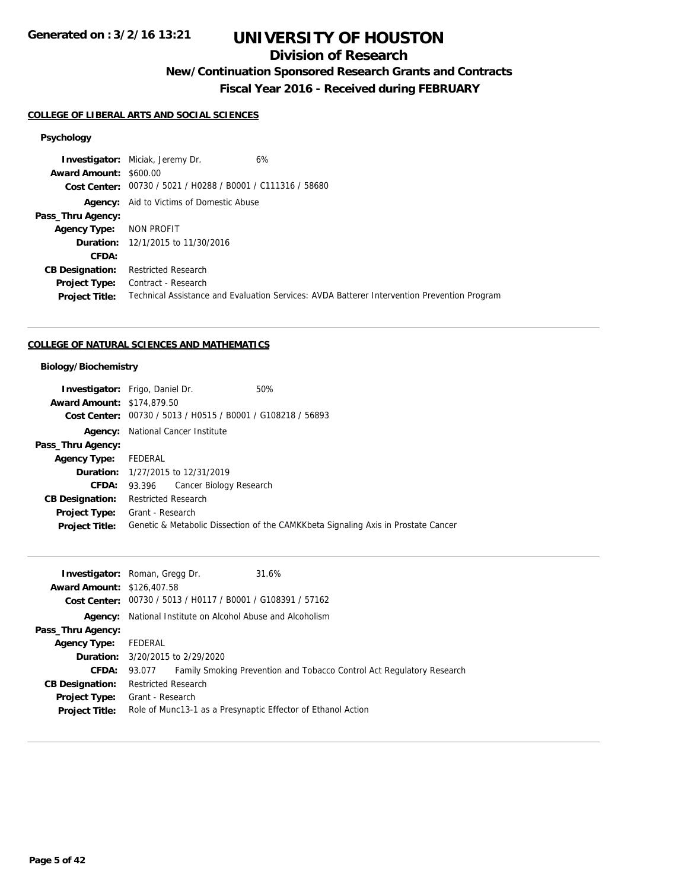## **Division of Research**

**New/Continuation Sponsored Research Grants and Contracts**

**Fiscal Year 2016 - Received during FEBRUARY**

#### **COLLEGE OF LIBERAL ARTS AND SOCIAL SCIENCES**

#### **Psychology**

**Investigator:** Miciak, Jeremy Dr. 6% **Award Amount:** \$600.00 **Cost Center:** 00730 / 5021 / H0288 / B0001 / C111316 / 58680 Agency: Aid to Victims of Domestic Abuse **Pass\_Thru Agency: Agency Type:** NON PROFIT **Duration:** 12/1/2015 to 11/30/2016 **CFDA: CB Designation:** Restricted Research **Project Type:** Contract - Research **Project Title:** Technical Assistance and Evaluation Services: AVDA Batterer Intervention Prevention Program

#### **COLLEGE OF NATURAL SCIENCES AND MATHEMATICS**

### **Biology/Biochemistry**

| <b>Investigator:</b> Frigo, Daniel Dr. |                     |                                                             | 50%                                                                               |
|----------------------------------------|---------------------|-------------------------------------------------------------|-----------------------------------------------------------------------------------|
| <b>Award Amount: \$174,879.50</b>      |                     |                                                             |                                                                                   |
|                                        |                     | Cost Center: 00730 / 5013 / H0515 / B0001 / G108218 / 56893 |                                                                                   |
| Agency:                                |                     | National Cancer Institute                                   |                                                                                   |
| Pass_Thru Agency:                      |                     |                                                             |                                                                                   |
| <b>Agency Type:</b>                    | FEDERAL             |                                                             |                                                                                   |
|                                        |                     | <b>Duration:</b> 1/27/2015 to 12/31/2019                    |                                                                                   |
|                                        |                     | <b>CFDA:</b> 93.396 Cancer Biology Research                 |                                                                                   |
| <b>CB Designation:</b>                 | Restricted Research |                                                             |                                                                                   |
| <b>Project Type:</b>                   | Grant - Research    |                                                             |                                                                                   |
| <b>Project Title:</b>                  |                     |                                                             | Genetic & Metabolic Dissection of the CAMKKbeta Signaling Axis in Prostate Cancer |
|                                        |                     |                                                             |                                                                                   |

| <b>Investigator:</b> Roman, Gregg Dr.<br>31.6% |                                                                                                                                                                                                                                                                           |
|------------------------------------------------|---------------------------------------------------------------------------------------------------------------------------------------------------------------------------------------------------------------------------------------------------------------------------|
| <b>Award Amount: \$126,407.58</b>              |                                                                                                                                                                                                                                                                           |
|                                                |                                                                                                                                                                                                                                                                           |
|                                                |                                                                                                                                                                                                                                                                           |
|                                                |                                                                                                                                                                                                                                                                           |
| FEDERAL                                        |                                                                                                                                                                                                                                                                           |
| <b>Duration:</b> $3/20/2015$ to $2/29/2020$    |                                                                                                                                                                                                                                                                           |
| 93.077                                         |                                                                                                                                                                                                                                                                           |
| <b>Restricted Research</b>                     |                                                                                                                                                                                                                                                                           |
| Grant - Research                               |                                                                                                                                                                                                                                                                           |
|                                                |                                                                                                                                                                                                                                                                           |
|                                                | Cost Center: 00730 / 5013 / H0117 / B0001 / G108391 / 57162<br><b>Agency:</b> National Institute on Alcohol Abuse and Alcoholism<br>Family Smoking Prevention and Tobacco Control Act Regulatory Research<br>Role of Munc13-1 as a Presynaptic Effector of Ethanol Action |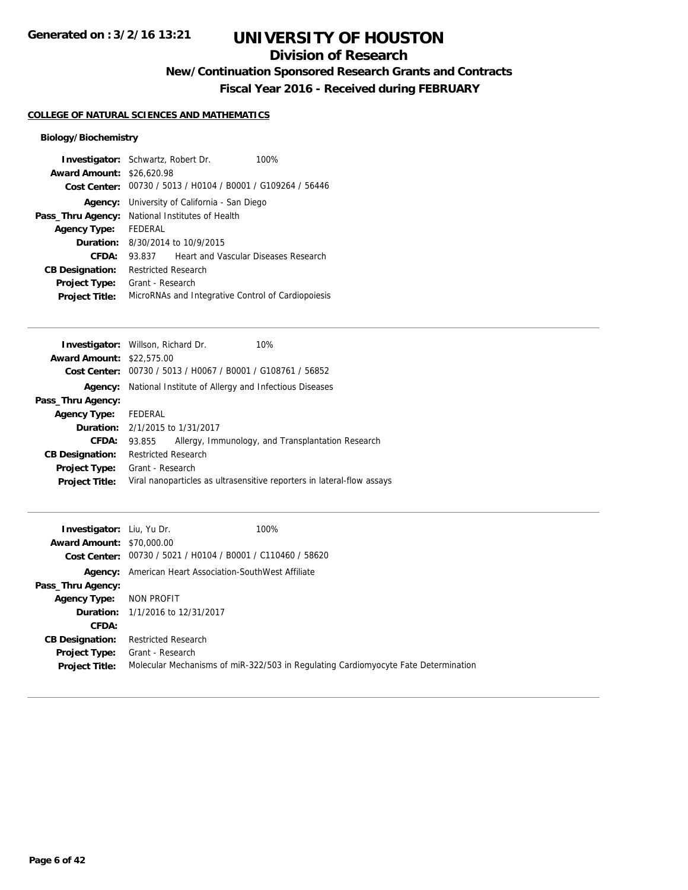## **Division of Research**

**New/Continuation Sponsored Research Grants and Contracts**

**Fiscal Year 2016 - Received during FEBRUARY**

### **COLLEGE OF NATURAL SCIENCES AND MATHEMATICS**

### **Biology/Biochemistry**

| <b>Investigator:</b> Schwartz, Robert Dr. |                                      |                                                             | 100% |
|-------------------------------------------|--------------------------------------|-------------------------------------------------------------|------|
| <b>Award Amount: \$26,620.98</b>          |                                      |                                                             |      |
|                                           |                                      | Cost Center: 00730 / 5013 / H0104 / B0001 / G109264 / 56446 |      |
| Agency:                                   | University of California - San Diego |                                                             |      |
| Pass_Thru Agency:                         |                                      | National Institutes of Health                               |      |
| <b>Agency Type:</b>                       | FEDERAL                              |                                                             |      |
| Duration:                                 | 8/30/2014 to 10/9/2015               |                                                             |      |
| CFDA:                                     | 93.837                               | Heart and Vascular Diseases Research                        |      |
| <b>CB Designation:</b>                    | Restricted Research                  |                                                             |      |
| <b>Project Type:</b>                      | Grant - Research                     |                                                             |      |
| <b>Project Title:</b>                     |                                      | MicroRNAs and Integrative Control of Cardiopoiesis          |      |

| <b>Investigator:</b> Willson, Richard Dr. |                                        | 10%                                                                    |
|-------------------------------------------|----------------------------------------|------------------------------------------------------------------------|
| <b>Award Amount: \$22,575.00</b>          |                                        |                                                                        |
| <b>Cost Center:</b>                       |                                        | 00730 / 5013 / H0067 / B0001 / G108761 / 56852                         |
| Agency:                                   |                                        | National Institute of Allergy and Infectious Diseases                  |
| Pass_Thru Agency:                         |                                        |                                                                        |
| <b>Agency Type:</b>                       | FEDERAL                                |                                                                        |
|                                           | <b>Duration:</b> 2/1/2015 to 1/31/2017 |                                                                        |
| CFDA:                                     | 93.855                                 | Allergy, Immunology, and Transplantation Research                      |
| <b>CB Designation:</b>                    | <b>Restricted Research</b>             |                                                                        |
| <b>Project Type:</b>                      | Grant - Research                       |                                                                        |
| <b>Project Title:</b>                     |                                        | Viral nanoparticles as ultrasensitive reporters in lateral-flow assays |
|                                           |                                        |                                                                        |

| <b>Investigator:</b> Liu, Yu Dr.<br><b>Award Amount: \$70,000.00</b> | 100%<br>Cost Center: 00730 / 5021 / H0104 / B0001 / C110460 / 58620                                    |
|----------------------------------------------------------------------|--------------------------------------------------------------------------------------------------------|
|                                                                      | <b>Agency:</b> American Heart Association-SouthWest Affiliate                                          |
| Pass_Thru Agency:                                                    |                                                                                                        |
| <b>Agency Type:</b>                                                  | NON PROFIT                                                                                             |
|                                                                      | <b>Duration:</b> 1/1/2016 to 12/31/2017                                                                |
| CFDA:                                                                |                                                                                                        |
| <b>CB Designation:</b>                                               | <b>Restricted Research</b>                                                                             |
| <b>Project Type:</b><br><b>Project Title:</b>                        | Grant - Research<br>Molecular Mechanisms of miR-322/503 in Regulating Cardiomyocyte Fate Determination |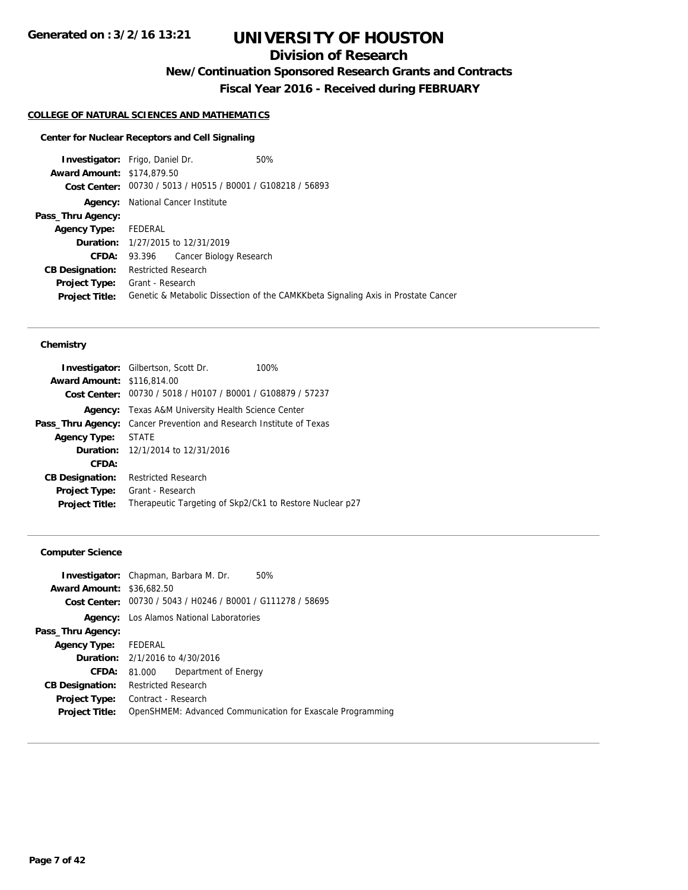## **Division of Research**

**New/Continuation Sponsored Research Grants and Contracts**

**Fiscal Year 2016 - Received during FEBRUARY**

### **COLLEGE OF NATURAL SCIENCES AND MATHEMATICS**

### **Center for Nuclear Receptors and Cell Signaling**

| <b>Investigator:</b> Frigo, Daniel Dr. |                            |                                                             | 50%                                                                               |
|----------------------------------------|----------------------------|-------------------------------------------------------------|-----------------------------------------------------------------------------------|
| <b>Award Amount: \$174,879.50</b>      |                            |                                                             |                                                                                   |
|                                        |                            | Cost Center: 00730 / 5013 / H0515 / B0001 / G108218 / 56893 |                                                                                   |
|                                        |                            | <b>Agency:</b> National Cancer Institute                    |                                                                                   |
| Pass_Thru Agency:                      |                            |                                                             |                                                                                   |
| <b>Agency Type:</b>                    | FEDERAL                    |                                                             |                                                                                   |
|                                        |                            | <b>Duration:</b> 1/27/2015 to 12/31/2019                    |                                                                                   |
| <b>CFDA:</b>                           | 93.396                     | Cancer Biology Research                                     |                                                                                   |
| <b>CB Designation:</b>                 | <b>Restricted Research</b> |                                                             |                                                                                   |
| <b>Project Type:</b>                   | Grant - Research           |                                                             |                                                                                   |
| <b>Project Title:</b>                  |                            |                                                             | Genetic & Metabolic Dissection of the CAMKKbeta Signaling Axis in Prostate Cancer |

#### **Chemistry**

| <b>Investigator:</b> Gilbertson, Scott Dr.<br>100%          |
|-------------------------------------------------------------|
| <b>Award Amount: \$116,814.00</b>                           |
| Cost Center: 00730 / 5018 / H0107 / B0001 / G108879 / 57237 |
| <b>Agency:</b> Texas A&M University Health Science Center   |
| Cancer Prevention and Research Institute of Texas           |
| STATE                                                       |
| <b>Duration:</b> 12/1/2014 to 12/31/2016                    |
|                                                             |
| <b>Restricted Research</b>                                  |
| Grant - Research                                            |
| Therapeutic Targeting of Skp2/Ck1 to Restore Nuclear p27    |
|                                                             |

### **Computer Science**

|                                  | <b>Investigator:</b> Chapman, Barbara M. Dr.<br>50%         |
|----------------------------------|-------------------------------------------------------------|
| <b>Award Amount: \$36,682.50</b> |                                                             |
|                                  | Cost Center: 00730 / 5043 / H0246 / B0001 / G111278 / 58695 |
|                                  | <b>Agency:</b> Los Alamos National Laboratories             |
| Pass_Thru Agency:                |                                                             |
| <b>Agency Type:</b>              | FEDERAL                                                     |
|                                  | <b>Duration:</b> 2/1/2016 to 4/30/2016                      |
| CFDA:                            | Department of Energy<br>81.000                              |
| <b>CB Designation:</b>           | <b>Restricted Research</b>                                  |
| <b>Project Type:</b>             | Contract - Research                                         |
| <b>Project Title:</b>            | OpenSHMEM: Advanced Communication for Exascale Programming  |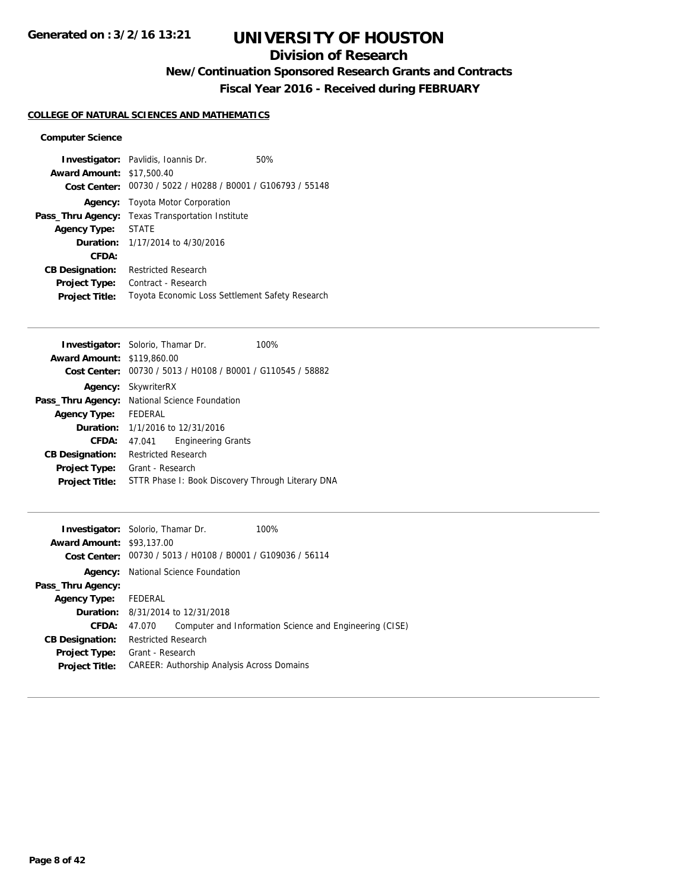## **Division of Research**

**New/Continuation Sponsored Research Grants and Contracts**

**Fiscal Year 2016 - Received during FEBRUARY**

### **COLLEGE OF NATURAL SCIENCES AND MATHEMATICS**

### **Computer Science**

|                                  | <b>Investigator:</b> Pavlidis, Ioannis Dr.                  | 50% |
|----------------------------------|-------------------------------------------------------------|-----|
| <b>Award Amount: \$17,500.40</b> |                                                             |     |
|                                  | Cost Center: 00730 / 5022 / H0288 / B0001 / G106793 / 55148 |     |
| Agency:                          | Toyota Motor Corporation                                    |     |
| Pass_Thru Agency:                | <b>Texas Transportation Institute</b>                       |     |
| <b>Agency Type:</b>              | <b>STATE</b>                                                |     |
|                                  | <b>Duration:</b> $1/17/2014$ to $4/30/2016$                 |     |
| CFDA:                            |                                                             |     |
| <b>CB Designation:</b>           | <b>Restricted Research</b>                                  |     |
| <b>Project Type:</b>             | Contract - Research                                         |     |
| <b>Project Title:</b>            | Toyota Economic Loss Settlement Safety Research             |     |

|                                   | <b>Investigator:</b> Solorio, Thamar Dr.          | 100%                                           |
|-----------------------------------|---------------------------------------------------|------------------------------------------------|
| <b>Award Amount: \$119,860.00</b> |                                                   |                                                |
| Cost Center:                      |                                                   | 00730 / 5013 / H0108 / B0001 / G110545 / 58882 |
| Agency:                           | SkywriterRX                                       |                                                |
| Pass_Thru Agency:                 | National Science Foundation                       |                                                |
| <b>Agency Type:</b>               | FEDERAL                                           |                                                |
|                                   | <b>Duration:</b> $1/1/2016$ to $12/31/2016$       |                                                |
| CFDA:                             | 47.041                                            | <b>Engineering Grants</b>                      |
| <b>CB Designation:</b>            | Restricted Research                               |                                                |
| <b>Project Type:</b>              | Grant - Research                                  |                                                |
| <b>Project Title:</b>             | STTR Phase I: Book Discovery Through Literary DNA |                                                |
|                                   |                                                   |                                                |

| <b>Investigator:</b> Solorio, Thamar Dr.<br><b>Award Amount: \$93,137.00</b> |                            | Cost Center: 00730 / 5013 / H0108 / B0001 / G109036 / 56114 | 100%                                                    |
|------------------------------------------------------------------------------|----------------------------|-------------------------------------------------------------|---------------------------------------------------------|
|                                                                              |                            | <b>Agency:</b> National Science Foundation                  |                                                         |
| Pass_Thru Agency:                                                            |                            |                                                             |                                                         |
| <b>Agency Type:</b>                                                          | FEDERAL                    |                                                             |                                                         |
|                                                                              |                            | <b>Duration:</b> 8/31/2014 to 12/31/2018                    |                                                         |
| CFDA:                                                                        | 47.070                     |                                                             | Computer and Information Science and Engineering (CISE) |
| <b>CB Designation:</b>                                                       | <b>Restricted Research</b> |                                                             |                                                         |
| <b>Project Type:</b>                                                         | Grant - Research           |                                                             |                                                         |
| <b>Project Title:</b>                                                        |                            | <b>CAREER: Authorship Analysis Across Domains</b>           |                                                         |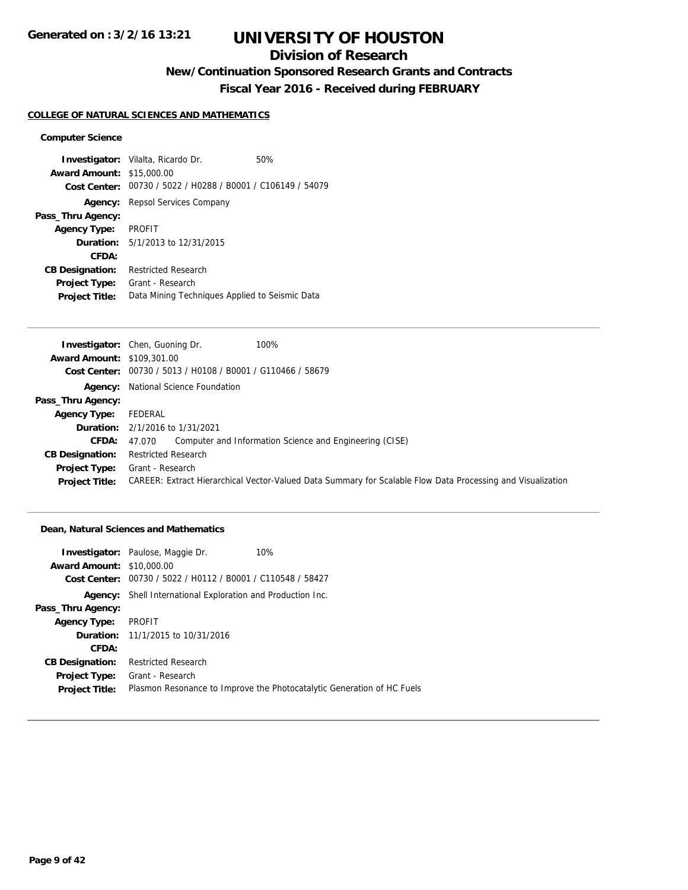## **Division of Research**

## **New/Continuation Sponsored Research Grants and Contracts**

**Fiscal Year 2016 - Received during FEBRUARY**

#### **COLLEGE OF NATURAL SCIENCES AND MATHEMATICS**

#### **Computer Science**

**Investigator:** Vilalta, Ricardo Dr. 60% **Award Amount:** \$15,000.00 **Cost Center:** 00730 / 5022 / H0288 / B0001 / C106149 / 54079 **Agency:** Repsol Services Company **Pass\_Thru Agency: Agency Type:** PROFIT **Duration:** 5/1/2013 to 12/31/2015 **CFDA: CB Designation:** Restricted Research **Project Type:** Grant - Research **Project Title:** Data Mining Techniques Applied to Seismic Data

|                                   | 100%<br><b>Investigator:</b> Chen, Guoning Dr.                                                              |
|-----------------------------------|-------------------------------------------------------------------------------------------------------------|
| <b>Award Amount: \$109,301.00</b> |                                                                                                             |
|                                   | Cost Center: 00730 / 5013 / H0108 / B0001 / G110466 / 58679                                                 |
|                                   | <b>Agency:</b> National Science Foundation                                                                  |
| Pass_Thru Agency:                 |                                                                                                             |
| <b>Agency Type:</b>               | FEDERAL                                                                                                     |
|                                   | <b>Duration:</b> 2/1/2016 to 1/31/2021                                                                      |
| CFDA:                             | Computer and Information Science and Engineering (CISE)<br>47.070                                           |
| <b>CB Designation:</b>            | Restricted Research                                                                                         |
| <b>Project Type:</b>              | Grant - Research                                                                                            |
| <b>Project Title:</b>             | CAREER: Extract Hierarchical Vector-Valued Data Summary for Scalable Flow Data Processing and Visualization |

#### **Dean, Natural Sciences and Mathematics**

|                                  | 10%<br><b>Investigator:</b> Paulose, Maggie Dr.                        |
|----------------------------------|------------------------------------------------------------------------|
| <b>Award Amount: \$10,000.00</b> |                                                                        |
| <b>Cost Center:</b>              | 00730 / 5022 / H0112 / B0001 / C110548 / 58427                         |
|                                  | <b>Agency:</b> Shell International Exploration and Production Inc.     |
| Pass_Thru Agency:                |                                                                        |
| <b>Agency Type:</b>              | PROFIT                                                                 |
|                                  | <b>Duration:</b> 11/1/2015 to 10/31/2016                               |
| CFDA:                            |                                                                        |
| <b>CB Designation:</b>           | <b>Restricted Research</b>                                             |
| <b>Project Type:</b>             | Grant - Research                                                       |
| <b>Project Title:</b>            | Plasmon Resonance to Improve the Photocatalytic Generation of HC Fuels |
|                                  |                                                                        |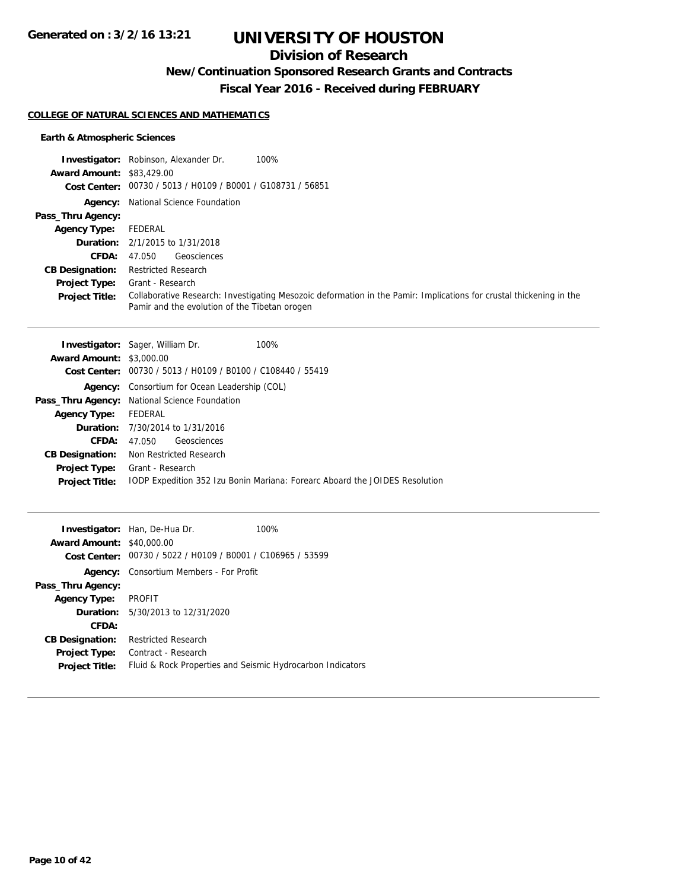## **Division of Research**

**New/Continuation Sponsored Research Grants and Contracts**

**Fiscal Year 2016 - Received during FEBRUARY**

### **COLLEGE OF NATURAL SCIENCES AND MATHEMATICS**

### **Earth & Atmospheric Sciences**

|                                  | <b>Investigator:</b> Robinson, Alexander Dr.<br>100%                                                                                                                 |
|----------------------------------|----------------------------------------------------------------------------------------------------------------------------------------------------------------------|
| <b>Award Amount: \$83,429.00</b> |                                                                                                                                                                      |
|                                  | Cost Center: 00730 / 5013 / H0109 / B0001 / G108731 / 56851                                                                                                          |
|                                  | <b>Agency:</b> National Science Foundation                                                                                                                           |
| Pass_Thru Agency:                |                                                                                                                                                                      |
| <b>Agency Type:</b>              | FEDERAL                                                                                                                                                              |
|                                  | <b>Duration:</b> 2/1/2015 to 1/31/2018                                                                                                                               |
| <b>CFDA:</b>                     | Geosciences<br>47.050                                                                                                                                                |
| <b>CB Designation:</b>           | <b>Restricted Research</b>                                                                                                                                           |
| <b>Project Type:</b>             | Grant - Research                                                                                                                                                     |
| <b>Project Title:</b>            | Collaborative Research: Investigating Mesozoic deformation in the Pamir: Implications for crustal thickening in the<br>Pamir and the evolution of the Tibetan orogen |

|                                 | <b>Investigator:</b> Sager, William Dr.<br>100%                             |
|---------------------------------|-----------------------------------------------------------------------------|
| <b>Award Amount: \$3,000.00</b> |                                                                             |
| <b>Cost Center:</b>             | 00730 / 5013 / H0109 / B0100 / C108440 / 55419                              |
|                                 | <b>Agency:</b> Consortium for Ocean Leadership (COL)                        |
|                                 | Pass_Thru Agency: National Science Foundation                               |
| <b>Agency Type:</b>             | FEDERAL                                                                     |
|                                 | <b>Duration:</b> 7/30/2014 to 1/31/2016                                     |
| CFDA:                           | Geosciences<br>47.050                                                       |
| <b>CB Designation:</b>          | Non Restricted Research                                                     |
|                                 | <b>Project Type:</b> Grant - Research                                       |
| <b>Project Title:</b>           | TODP Expedition 352 Izu Bonin Mariana: Forearc Aboard the JOIDES Resolution |
|                                 |                                                                             |

| <b>Award Amount: \$40,000.00</b> | <b>Investigator:</b> Han, De-Hua Dr.<br>Cost Center: 00730 / 5022 / H0109 / B0001 / C106965 / 53599 | 100% |
|----------------------------------|-----------------------------------------------------------------------------------------------------|------|
|                                  | <b>Agency:</b> Consortium Members - For Profit                                                      |      |
| Pass_Thru Agency:                |                                                                                                     |      |
| Agency Type: PROFIT              |                                                                                                     |      |
|                                  | <b>Duration:</b> $5/30/2013$ to $12/31/2020$                                                        |      |
| CFDA:                            |                                                                                                     |      |
| <b>CB Designation:</b>           | <b>Restricted Research</b>                                                                          |      |
| <b>Project Type:</b>             | Contract - Research                                                                                 |      |
| <b>Project Title:</b>            | Fluid & Rock Properties and Seismic Hydrocarbon Indicators                                          |      |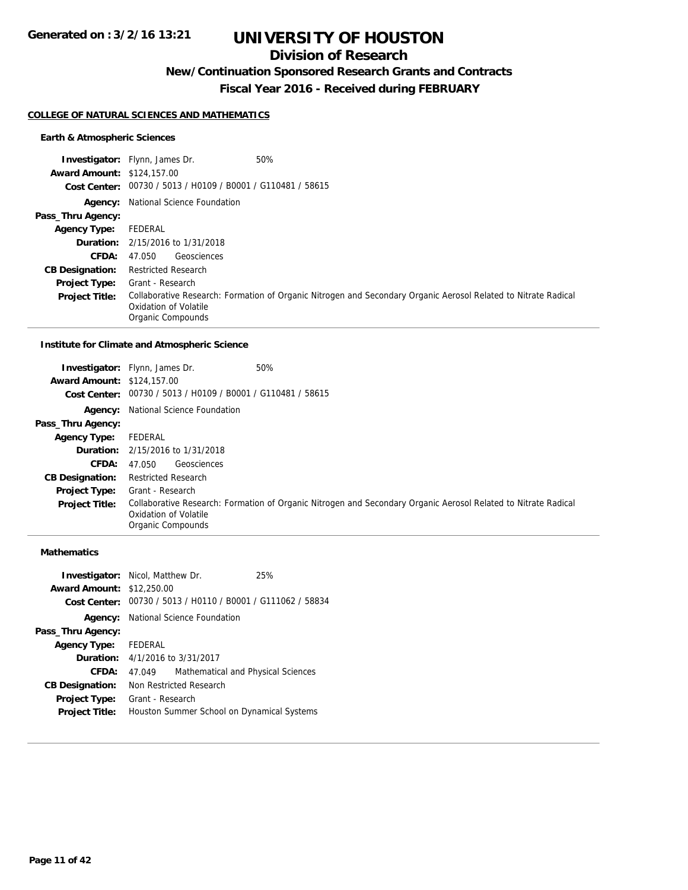## **Division of Research**

**New/Continuation Sponsored Research Grants and Contracts**

**Fiscal Year 2016 - Received during FEBRUARY**

#### **COLLEGE OF NATURAL SCIENCES AND MATHEMATICS**

### **Earth & Atmospheric Sciences**

|                                   | <b>Investigator:</b> Flynn, James Dr.<br>50%                                                                                                                 |
|-----------------------------------|--------------------------------------------------------------------------------------------------------------------------------------------------------------|
| <b>Award Amount: \$124,157.00</b> |                                                                                                                                                              |
|                                   | Cost Center: 00730 / 5013 / H0109 / B0001 / G110481 / 58615                                                                                                  |
|                                   | <b>Agency:</b> National Science Foundation                                                                                                                   |
| Pass_Thru Agency:                 |                                                                                                                                                              |
| <b>Agency Type:</b>               | FEDERAL                                                                                                                                                      |
|                                   | <b>Duration:</b> 2/15/2016 to 1/31/2018                                                                                                                      |
| <b>CFDA:</b>                      | Geosciences<br>47.050                                                                                                                                        |
| <b>CB Designation:</b>            | <b>Restricted Research</b>                                                                                                                                   |
| <b>Project Type:</b>              | Grant - Research                                                                                                                                             |
| <b>Project Title:</b>             | Collaborative Research: Formation of Organic Nitrogen and Secondary Organic Aerosol Related to Nitrate Radical<br>Oxidation of Volatile<br>Organic Compounds |

#### **Institute for Climate and Atmospheric Science**

| <b>Award Amount: \$124,157.00</b> | 50%<br><b>Investigator:</b> Flynn, James Dr.<br>Cost Center: 00730 / 5013 / H0109 / B0001 / G110481 / 58615                                                  |
|-----------------------------------|--------------------------------------------------------------------------------------------------------------------------------------------------------------|
|                                   | <b>Agency:</b> National Science Foundation                                                                                                                   |
| Pass_Thru Agency:                 |                                                                                                                                                              |
| <b>Agency Type:</b>               | FEDERAL                                                                                                                                                      |
|                                   | <b>Duration:</b> 2/15/2016 to 1/31/2018                                                                                                                      |
| <b>CFDA:</b>                      | Geosciences<br>47.050                                                                                                                                        |
| <b>CB Designation:</b>            | <b>Restricted Research</b>                                                                                                                                   |
| <b>Project Type:</b>              | Grant - Research                                                                                                                                             |
| <b>Project Title:</b>             | Collaborative Research: Formation of Organic Nitrogen and Secondary Organic Aerosol Related to Nitrate Radical<br>Oxidation of Volatile<br>Organic Compounds |

### **Mathematics**

| <b>Investigator:</b> Nicol, Matthew Dr.<br><b>Award Amount: \$12,250.00</b> |                  |                                                             | 25% |
|-----------------------------------------------------------------------------|------------------|-------------------------------------------------------------|-----|
|                                                                             |                  | Cost Center: 00730 / 5013 / H0110 / B0001 / G111062 / 58834 |     |
|                                                                             |                  | <b>Agency:</b> National Science Foundation                  |     |
| Pass_Thru Agency:                                                           |                  |                                                             |     |
| Agency Type: FEDERAL                                                        |                  |                                                             |     |
|                                                                             |                  | <b>Duration:</b> $4/1/2016$ to $3/31/2017$                  |     |
| CFDA:                                                                       | 47.049           | Mathematical and Physical Sciences                          |     |
| <b>CB Designation:</b>                                                      |                  | Non Restricted Research                                     |     |
| <b>Project Type:</b>                                                        | Grant - Research |                                                             |     |
| <b>Project Title:</b>                                                       |                  | Houston Summer School on Dynamical Systems                  |     |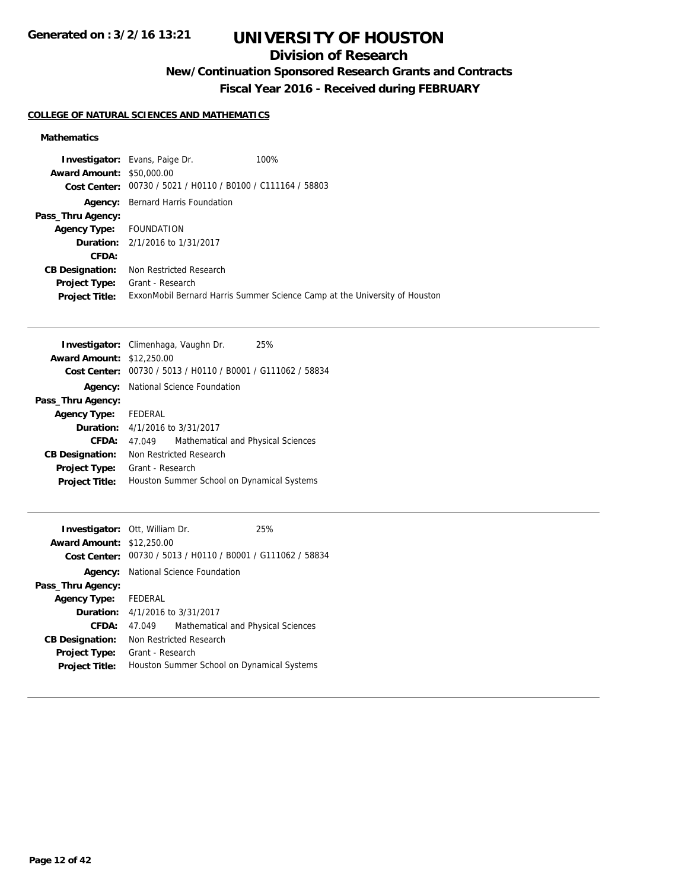## **Division of Research**

## **New/Continuation Sponsored Research Grants and Contracts**

**Fiscal Year 2016 - Received during FEBRUARY**

### **COLLEGE OF NATURAL SCIENCES AND MATHEMATICS**

### **Mathematics**

|                                  | <b>Investigator:</b> Evans, Paige Dr.                       | 100%                                                                       |
|----------------------------------|-------------------------------------------------------------|----------------------------------------------------------------------------|
| <b>Award Amount: \$50,000.00</b> |                                                             |                                                                            |
|                                  | Cost Center: 00730 / 5021 / H0110 / B0100 / C111164 / 58803 |                                                                            |
| Agency:                          | Bernard Harris Foundation                                   |                                                                            |
| Pass_Thru Agency:                |                                                             |                                                                            |
| Agency Type: FOUNDATION          |                                                             |                                                                            |
|                                  | <b>Duration:</b> 2/1/2016 to 1/31/2017                      |                                                                            |
| CFDA:                            |                                                             |                                                                            |
| <b>CB Designation:</b>           | Non Restricted Research                                     |                                                                            |
| <b>Project Type:</b>             | Grant - Research                                            |                                                                            |
| <b>Project Title:</b>            |                                                             | ExxonMobil Bernard Harris Summer Science Camp at the University of Houston |

|                        | Investigator: Climenhaga, Vaughn Dr.<br>25%                 |
|------------------------|-------------------------------------------------------------|
| <b>Award Amount:</b>   | \$12,250.00                                                 |
|                        | Cost Center: 00730 / 5013 / H0110 / B0001 / G111062 / 58834 |
| Agency:                | National Science Foundation                                 |
| Pass_Thru Agency:      |                                                             |
| <b>Agency Type:</b>    | FEDERAL                                                     |
|                        | <b>Duration:</b> 4/1/2016 to 3/31/2017                      |
| CFDA:                  | Mathematical and Physical Sciences<br>47.049                |
| <b>CB Designation:</b> | Non Restricted Research                                     |
| <b>Project Type:</b>   | Grant - Research                                            |
| <b>Project Title:</b>  | Houston Summer School on Dynamical Systems                  |
|                        |                                                             |

| <b>Award Amount: \$12,250.00</b>                                    |  |
|---------------------------------------------------------------------|--|
| Cost Center: $00730 / 5013 / 40110 / 80001 / 6111062 / 58834$       |  |
| <b>Agency:</b> National Science Foundation                          |  |
| Pass_Thru Agency:                                                   |  |
| FEDERAL<br><b>Agency Type:</b>                                      |  |
| <b>Duration:</b> 4/1/2016 to 3/31/2017                              |  |
| CFDA:<br>Mathematical and Physical Sciences<br>47.049               |  |
| Non Restricted Research<br><b>CB Designation:</b>                   |  |
| Grant - Research<br><b>Project Type:</b>                            |  |
| Houston Summer School on Dynamical Systems<br><b>Project Title:</b> |  |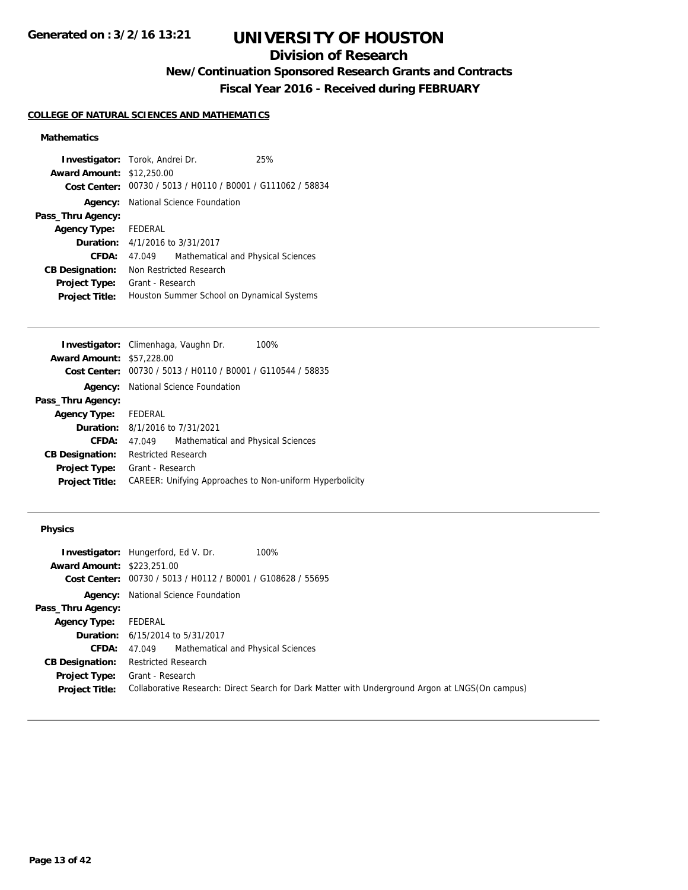## **Division of Research**

**New/Continuation Sponsored Research Grants and Contracts**

**Fiscal Year 2016 - Received during FEBRUARY**

### **COLLEGE OF NATURAL SCIENCES AND MATHEMATICS**

### **Mathematics**

| <b>Investigator:</b> Torok, Andrei Dr. |                  |                                                             | 25% |
|----------------------------------------|------------------|-------------------------------------------------------------|-----|
| <b>Award Amount: \$12,250.00</b>       |                  |                                                             |     |
|                                        |                  | Cost Center: 00730 / 5013 / H0110 / B0001 / G111062 / 58834 |     |
|                                        |                  | <b>Agency:</b> National Science Foundation                  |     |
| Pass_Thru Agency:                      |                  |                                                             |     |
| Agency Type: FEDERAL                   |                  |                                                             |     |
|                                        |                  | <b>Duration:</b> $4/1/2016$ to $3/31/2017$                  |     |
| CFDA:                                  | 47.049           | Mathematical and Physical Sciences                          |     |
| <b>CB Designation:</b>                 |                  | Non Restricted Research                                     |     |
| <b>Project Type:</b>                   | Grant - Research |                                                             |     |
| <b>Project Title:</b>                  |                  | Houston Summer School on Dynamical Systems                  |     |

|                                  | Investigator: Climenhaga, Vaughn Dr.<br>100%             |
|----------------------------------|----------------------------------------------------------|
| <b>Award Amount: \$57,228.00</b> |                                                          |
| Cost Center:                     | 00730 / 5013 / H0110 / B0001 / G110544 / 58835           |
| Agency:                          | National Science Foundation                              |
| Pass_Thru Agency:                |                                                          |
| <b>Agency Type:</b>              | FEDERAL                                                  |
|                                  | <b>Duration:</b> 8/1/2016 to 7/31/2021                   |
| CFDA:                            | Mathematical and Physical Sciences<br>47.049             |
| <b>CB Designation:</b>           | <b>Restricted Research</b>                               |
| <b>Project Type:</b>             | Grant - Research                                         |
| <b>Project Title:</b>            | CAREER: Unifying Approaches to Non-uniform Hyperbolicity |
|                                  |                                                          |

|                                   | <b>Investigator:</b> Hungerford, Ed V. Dr.<br>100%                                              |
|-----------------------------------|-------------------------------------------------------------------------------------------------|
| <b>Award Amount: \$223,251.00</b> |                                                                                                 |
|                                   | Cost Center: 00730 / 5013 / H0112 / B0001 / G108628 / 55695                                     |
|                                   | <b>Agency:</b> National Science Foundation                                                      |
| Pass_Thru Agency:                 |                                                                                                 |
| <b>Agency Type:</b>               | FEDERAL                                                                                         |
|                                   | <b>Duration:</b> 6/15/2014 to 5/31/2017                                                         |
|                                   | <b>CFDA:</b> 47.049 Mathematical and Physical Sciences                                          |
| <b>CB Designation:</b>            | <b>Restricted Research</b>                                                                      |
| <b>Project Type:</b>              | Grant - Research                                                                                |
| <b>Project Title:</b>             | Collaborative Research: Direct Search for Dark Matter with Underground Argon at LNGS(On campus) |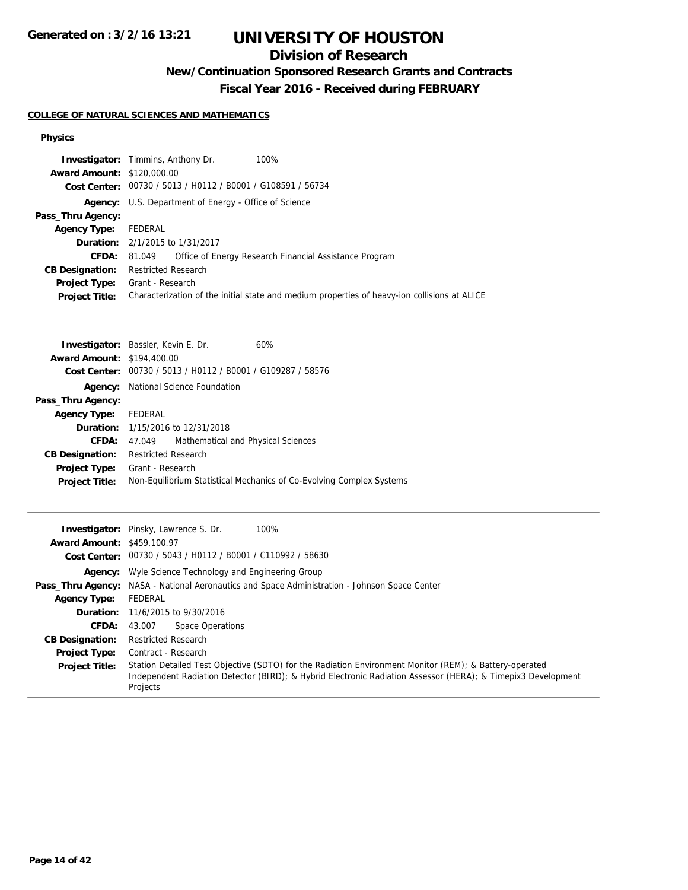## **Division of Research**

## **New/Continuation Sponsored Research Grants and Contracts**

**Fiscal Year 2016 - Received during FEBRUARY**

### **COLLEGE OF NATURAL SCIENCES AND MATHEMATICS**

| 100%<br><b>Investigator:</b> Timmins, Anthony Dr.                                            |
|----------------------------------------------------------------------------------------------|
| <b>Award Amount: \$120,000.00</b>                                                            |
| Cost Center: 00730 / 5013 / H0112 / B0001 / G108591 / 56734                                  |
| <b>Agency:</b> U.S. Department of Energy - Office of Science                                 |
|                                                                                              |
| FEDERAL                                                                                      |
| <b>Duration:</b> 2/1/2015 to 1/31/2017                                                       |
| Office of Energy Research Financial Assistance Program<br>81.049                             |
| <b>Restricted Research</b>                                                                   |
| Grant - Research                                                                             |
| Characterization of the initial state and medium properties of heavy-ion collisions at ALICE |
|                                                                                              |

| <b>Investigator:</b> Bassler, Kevin E. Dr.                     | 60%                                                                  |
|----------------------------------------------------------------|----------------------------------------------------------------------|
| <b>Award Amount: \$194,400.00</b>                              |                                                                      |
| 00730 / 5013 / H0112 / B0001 / G109287 / 58576<br>Cost Center: |                                                                      |
| <b>Agency:</b> National Science Foundation                     |                                                                      |
|                                                                |                                                                      |
| FEDERAL                                                        |                                                                      |
| <b>Duration:</b> 1/15/2016 to 12/31/2018                       |                                                                      |
| 47.049                                                         | Mathematical and Physical Sciences                                   |
| <b>Restricted Research</b>                                     |                                                                      |
| Grant - Research                                               |                                                                      |
|                                                                | Non-Equilibrium Statistical Mechanics of Co-Evolving Complex Systems |
|                                                                |                                                                      |

|                                   | 100%<br><b>Investigator:</b> Pinsky, Lawrence S. Dr.                                                                                                                                                                               |
|-----------------------------------|------------------------------------------------------------------------------------------------------------------------------------------------------------------------------------------------------------------------------------|
| <b>Award Amount: \$459,100.97</b> |                                                                                                                                                                                                                                    |
|                                   | Cost Center: 00730 / 5043 / H0112 / B0001 / C110992 / 58630                                                                                                                                                                        |
|                                   | <b>Agency:</b> Wyle Science Technology and Engineering Group                                                                                                                                                                       |
|                                   | <b>Pass_Thru Agency:</b> NASA - National Aeronautics and Space Administration - Johnson Space Center                                                                                                                               |
| <b>Agency Type:</b>               | FEDERAL                                                                                                                                                                                                                            |
|                                   | <b>Duration:</b> 11/6/2015 to 9/30/2016                                                                                                                                                                                            |
| <b>CFDA:</b>                      | Space Operations<br>43.007                                                                                                                                                                                                         |
| <b>CB Designation:</b>            | <b>Restricted Research</b>                                                                                                                                                                                                         |
| <b>Project Type:</b>              | Contract - Research                                                                                                                                                                                                                |
| <b>Project Title:</b>             | Station Detailed Test Objective (SDTO) for the Radiation Environment Monitor (REM); & Battery-operated<br>Independent Radiation Detector (BIRD); & Hybrid Electronic Radiation Assessor (HERA); & Timepix3 Development<br>Projects |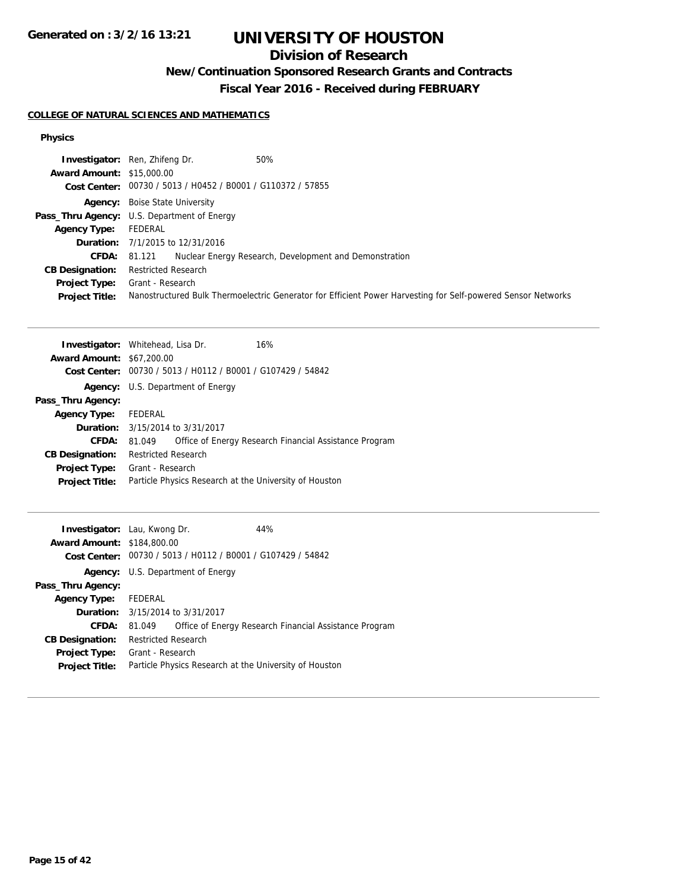## **Division of Research**

## **New/Continuation Sponsored Research Grants and Contracts**

**Fiscal Year 2016 - Received during FEBRUARY**

### **COLLEGE OF NATURAL SCIENCES AND MATHEMATICS**

|                                  | 50%<br><b>Investigator:</b> Ren, Zhifeng Dr.                                                                 |
|----------------------------------|--------------------------------------------------------------------------------------------------------------|
| <b>Award Amount: \$15,000.00</b> |                                                                                                              |
|                                  | Cost Center: 00730 / 5013 / H0452 / B0001 / G110372 / 57855                                                  |
|                                  | <b>Agency:</b> Boise State University                                                                        |
|                                  | Pass_Thru Agency: U.S. Department of Energy                                                                  |
| <b>Agency Type:</b>              | FEDERAL                                                                                                      |
|                                  | <b>Duration:</b> 7/1/2015 to 12/31/2016                                                                      |
| <b>CFDA:</b>                     | Nuclear Energy Research, Development and Demonstration<br>81.121                                             |
| <b>CB Designation:</b>           | <b>Restricted Research</b>                                                                                   |
| <b>Project Type:</b>             | Grant - Research                                                                                             |
| <b>Project Title:</b>            | Nanostructured Bulk Thermoelectric Generator for Efficient Power Harvesting for Self-powered Sensor Networks |

| <b>Investigator:</b> Whitehead, Lisa Dr. |                            |                                                | 16%                                                    |
|------------------------------------------|----------------------------|------------------------------------------------|--------------------------------------------------------|
| <b>Award Amount: \$67,200.00</b>         |                            |                                                |                                                        |
| <b>Cost Center:</b>                      |                            | 00730 / 5013 / H0112 / B0001 / G107429 / 54842 |                                                        |
|                                          |                            | <b>Agency:</b> U.S. Department of Energy       |                                                        |
| Pass_Thru Agency:                        |                            |                                                |                                                        |
| <b>Agency Type:</b>                      | FEDERAL                    |                                                |                                                        |
|                                          |                            | <b>Duration:</b> 3/15/2014 to 3/31/2017        |                                                        |
| <b>CFDA:</b>                             | 81.049                     |                                                | Office of Energy Research Financial Assistance Program |
| <b>CB Designation:</b>                   | <b>Restricted Research</b> |                                                |                                                        |
| <b>Project Type:</b> Grant - Research    |                            |                                                |                                                        |
| <b>Project Title:</b>                    |                            |                                                | Particle Physics Research at the University of Houston |
|                                          |                            |                                                |                                                        |

| <b>Investigator:</b> Lau, Kwong Dr. |                            |                                                | 44%                                                    |
|-------------------------------------|----------------------------|------------------------------------------------|--------------------------------------------------------|
| <b>Award Amount: \$184,800.00</b>   |                            |                                                |                                                        |
| Cost Center:                        |                            | 00730 / 5013 / H0112 / B0001 / G107429 / 54842 |                                                        |
|                                     |                            | <b>Agency:</b> U.S. Department of Energy       |                                                        |
| Pass_Thru Agency:                   |                            |                                                |                                                        |
| <b>Agency Type:</b>                 | FEDERAL                    |                                                |                                                        |
|                                     |                            | <b>Duration:</b> 3/15/2014 to 3/31/2017        |                                                        |
| CFDA:                               | 81.049                     |                                                | Office of Energy Research Financial Assistance Program |
| <b>CB Designation:</b>              | <b>Restricted Research</b> |                                                |                                                        |
| <b>Project Type:</b>                | Grant - Research           |                                                |                                                        |
| <b>Project Title:</b>               |                            |                                                | Particle Physics Research at the University of Houston |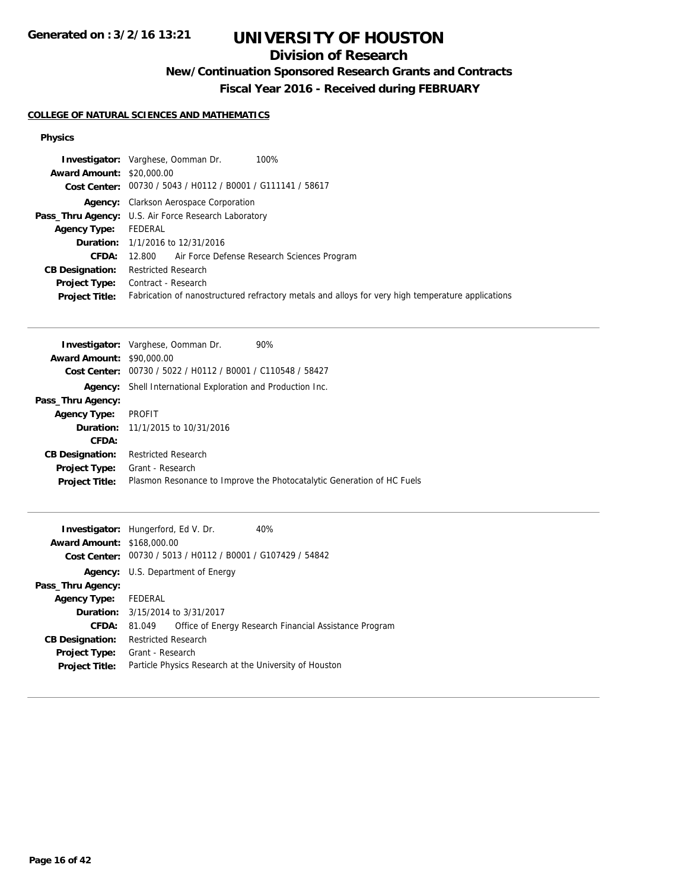## **Division of Research**

## **New/Continuation Sponsored Research Grants and Contracts**

**Fiscal Year 2016 - Received during FEBRUARY**

### **COLLEGE OF NATURAL SCIENCES AND MATHEMATICS**

|                                  | <b>Investigator:</b> Varghese, Oomman Dr.<br>100%                                                 |
|----------------------------------|---------------------------------------------------------------------------------------------------|
| <b>Award Amount: \$20,000.00</b> |                                                                                                   |
|                                  | Cost Center: 00730 / 5043 / H0112 / B0001 / G111141 / 58617                                       |
|                                  | <b>Agency:</b> Clarkson Aerospace Corporation                                                     |
|                                  | Pass_Thru Agency: U.S. Air Force Research Laboratory                                              |
| <b>Agency Type:</b>              | FEDERAL                                                                                           |
|                                  | <b>Duration:</b> 1/1/2016 to 12/31/2016                                                           |
| <b>CFDA:</b>                     | 12.800 Air Force Defense Research Sciences Program                                                |
| <b>CB Designation:</b>           | <b>Restricted Research</b>                                                                        |
| <b>Project Type:</b>             | Contract - Research                                                                               |
| <b>Project Title:</b>            | Fabrication of nanostructured refractory metals and alloys for very high temperature applications |

| 90%<br><b>Investigator:</b> Varghese, Oomman Dr.                       |
|------------------------------------------------------------------------|
| <b>Award Amount: \$90,000.00</b>                                       |
| 00730 / 5022 / H0112 / B0001 / C110548 / 58427                         |
| Shell International Exploration and Production Inc.                    |
|                                                                        |
| <b>PROFIT</b>                                                          |
| <b>Duration:</b> 11/1/2015 to 10/31/2016                               |
|                                                                        |
| <b>Restricted Research</b>                                             |
| Grant - Research                                                       |
| Plasmon Resonance to Improve the Photocatalytic Generation of HC Fuels |
|                                                                        |

| <b>Investigator:</b> Hungerford, Ed V. Dr. |                            |                                                             | 40%                                                    |
|--------------------------------------------|----------------------------|-------------------------------------------------------------|--------------------------------------------------------|
| <b>Award Amount: \$168,000.00</b>          |                            |                                                             |                                                        |
|                                            |                            | Cost Center: 00730 / 5013 / H0112 / B0001 / G107429 / 54842 |                                                        |
|                                            |                            | <b>Agency:</b> U.S. Department of Energy                    |                                                        |
| Pass_Thru Agency:                          |                            |                                                             |                                                        |
| <b>Agency Type:</b>                        | FEDERAL                    |                                                             |                                                        |
|                                            |                            | <b>Duration:</b> 3/15/2014 to 3/31/2017                     |                                                        |
| <b>CFDA:</b>                               | 81.049                     |                                                             | Office of Energy Research Financial Assistance Program |
| <b>CB Designation:</b>                     | <b>Restricted Research</b> |                                                             |                                                        |
| Project Type:                              | Grant - Research           |                                                             |                                                        |
| <b>Project Title:</b>                      |                            |                                                             | Particle Physics Research at the University of Houston |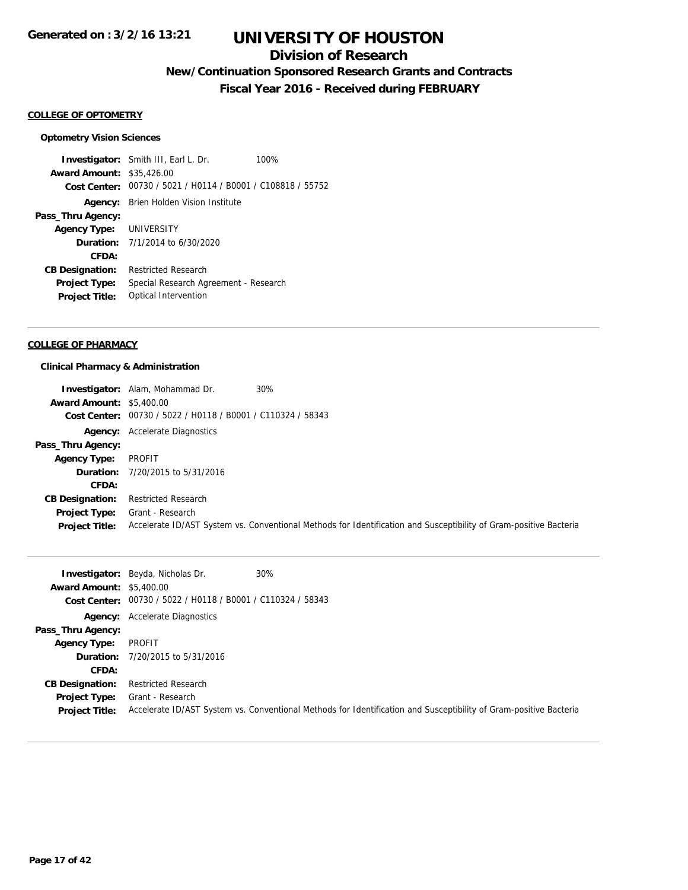## **Division of Research**

## **New/Continuation Sponsored Research Grants and Contracts**

**Fiscal Year 2016 - Received during FEBRUARY**

#### **COLLEGE OF OPTOMETRY**

#### **Optometry Vision Sciences**

**Investigator:** Smith III, Earl L. Dr. 100% **Award Amount:** \$35,426.00 **Cost Center:** 00730 / 5021 / H0114 / B0001 / C108818 / 55752 **Agency:** Brien Holden Vision Institute **Pass\_Thru Agency: Agency Type:** UNIVERSITY **Duration:** 7/1/2014 to 6/30/2020 **CFDA: CB Designation:** Restricted Research **Project Type:** Special Research Agreement - Research **Project Title:** Optical Intervention

#### **COLLEGE OF PHARMACY**

#### **Clinical Pharmacy & Administration**

|                                 | <b>Investigator:</b> Alam, Mohammad Dr.                     | 30%                                                                                                               |
|---------------------------------|-------------------------------------------------------------|-------------------------------------------------------------------------------------------------------------------|
| <b>Award Amount: \$5,400.00</b> |                                                             |                                                                                                                   |
|                                 | Cost Center: 00730 / 5022 / H0118 / B0001 / C110324 / 58343 |                                                                                                                   |
|                                 | <b>Agency:</b> Accelerate Diagnostics                       |                                                                                                                   |
| Pass_Thru Agency:               |                                                             |                                                                                                                   |
| <b>Agency Type:</b>             | PROFIT                                                      |                                                                                                                   |
|                                 | <b>Duration:</b> 7/20/2015 to 5/31/2016                     |                                                                                                                   |
| CFDA:                           |                                                             |                                                                                                                   |
| <b>CB Designation:</b>          | <b>Restricted Research</b>                                  |                                                                                                                   |
| <b>Project Type:</b>            | Grant - Research                                            |                                                                                                                   |
| <b>Project Title:</b>           |                                                             | Accelerate ID/AST System vs. Conventional Methods for Identification and Susceptibility of Gram-positive Bacteria |

| <b>Award Amount: \$5,400.00</b>               | <b>Investigator:</b> Beyda, Nicholas Dr.<br>Cost Center: 00730 / 5022 / H0118 / B0001 / C110324 / 58343 | 30%                                                                                                               |
|-----------------------------------------------|---------------------------------------------------------------------------------------------------------|-------------------------------------------------------------------------------------------------------------------|
|                                               |                                                                                                         |                                                                                                                   |
|                                               | <b>Agency:</b> Accelerate Diagnostics                                                                   |                                                                                                                   |
| Pass_Thru Agency:                             |                                                                                                         |                                                                                                                   |
| <b>Agency Type:</b>                           | PROFIT                                                                                                  |                                                                                                                   |
|                                               | <b>Duration:</b> 7/20/2015 to 5/31/2016                                                                 |                                                                                                                   |
| CFDA:                                         |                                                                                                         |                                                                                                                   |
| <b>CB Designation:</b>                        | Restricted Research                                                                                     |                                                                                                                   |
| <b>Project Type:</b><br><b>Project Title:</b> | Grant - Research                                                                                        | Accelerate ID/AST System vs. Conventional Methods for Identification and Susceptibility of Gram-positive Bacteria |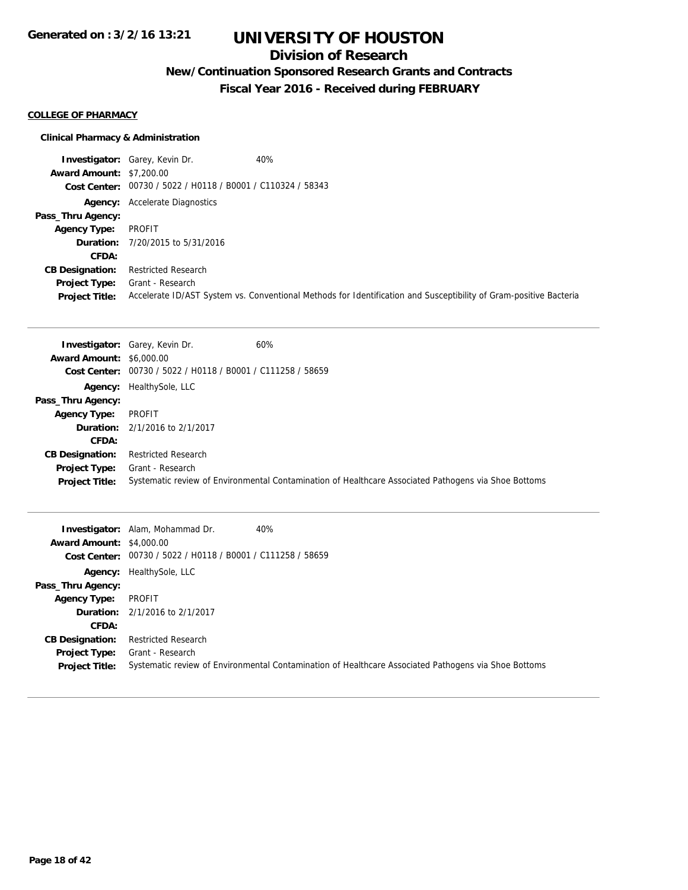### **Division of Research**

## **New/Continuation Sponsored Research Grants and Contracts**

**Fiscal Year 2016 - Received during FEBRUARY**

#### **COLLEGE OF PHARMACY**

### **Clinical Pharmacy & Administration**

**Investigator:** Garey, Kevin Dr. 40% **Award Amount:** \$7,200.00 **Cost Center:** 00730 / 5022 / H0118 / B0001 / C110324 / 58343 **Agency:** Accelerate Diagnostics **Pass\_Thru Agency: Agency Type:** PROFIT **Duration:** 7/20/2015 to 5/31/2016 **CFDA: CB Designation:** Restricted Research **Project Type:** Grant - Research **Project Title:** Accelerate ID/AST System vs. Conventional Methods for Identification and Susceptibility of Gram-positive Bacteria

| <b>Award Amount: \$6,000.00</b>               | 60%<br><b>Investigator:</b> Garey, Kevin Dr.<br>Cost Center: 00730 / 5022 / H0118 / B0001 / C111258 / 58659              |
|-----------------------------------------------|--------------------------------------------------------------------------------------------------------------------------|
| Pass_Thru Agency:                             | <b>Agency:</b> HealthySole, LLC                                                                                          |
| <b>Agency Type:</b>                           | PROFIT                                                                                                                   |
|                                               | <b>Duration:</b> 2/1/2016 to 2/1/2017                                                                                    |
| <b>CFDA:</b>                                  |                                                                                                                          |
| <b>CB Designation:</b>                        | Restricted Research                                                                                                      |
| <b>Project Type:</b><br><b>Project Title:</b> | Grant - Research<br>Systematic review of Environmental Contamination of Healthcare Associated Pathogens via Shoe Bottoms |

| <b>Award Amount: \$4,000.00</b>                                                         | <b>Investigator:</b> Alam, Mohammad Dr.<br>40%<br>Cost Center: 00730 / 5022 / H0118 / B0001 / C111258 / 58659                                          |
|-----------------------------------------------------------------------------------------|--------------------------------------------------------------------------------------------------------------------------------------------------------|
| Pass_Thru Agency:                                                                       | <b>Agency:</b> HealthySole, LLC                                                                                                                        |
| <b>Agency Type:</b>                                                                     | PROFIT<br><b>Duration:</b> 2/1/2016 to 2/1/2017                                                                                                        |
| <b>CFDA:</b><br><b>CB Designation:</b><br><b>Project Type:</b><br><b>Project Title:</b> | <b>Restricted Research</b><br>Grant - Research<br>Systematic review of Environmental Contamination of Healthcare Associated Pathogens via Shoe Bottoms |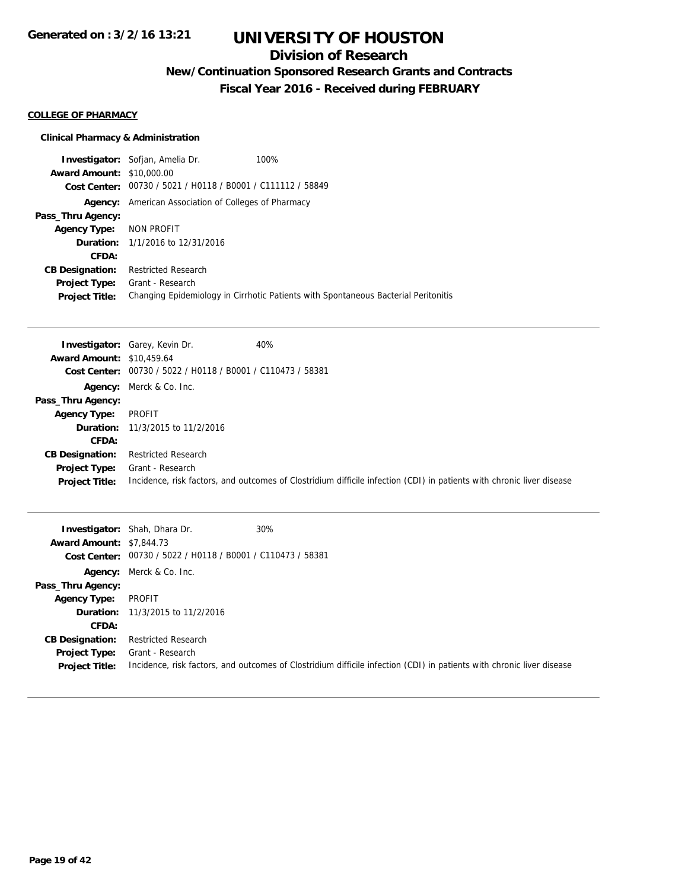## **Division of Research**

## **New/Continuation Sponsored Research Grants and Contracts**

**Fiscal Year 2016 - Received during FEBRUARY**

#### **COLLEGE OF PHARMACY**

### **Clinical Pharmacy & Administration**

**Investigator:** Sofjan, Amelia Dr. 100% **Award Amount:** \$10,000.00 **Cost Center:** 00730 / 5021 / H0118 / B0001 / C111112 / 58849 **Agency:** American Association of Colleges of Pharmacy **Pass\_Thru Agency: Agency Type:** NON PROFIT **Duration:** 1/1/2016 to 12/31/2016 **CFDA: CB Designation:** Restricted Research **Project Type:** Grant - Research **Project Title:** Changing Epidemiology in Cirrhotic Patients with Spontaneous Bacterial Peritonitis

|                                  | <b>Investigator:</b> Garey, Kevin Dr.                       | 40%                                                                                                                   |
|----------------------------------|-------------------------------------------------------------|-----------------------------------------------------------------------------------------------------------------------|
| <b>Award Amount: \$10,459.64</b> |                                                             |                                                                                                                       |
|                                  | Cost Center: 00730 / 5022 / H0118 / B0001 / C110473 / 58381 |                                                                                                                       |
|                                  | Agency: Merck & Co. Inc.                                    |                                                                                                                       |
| Pass_Thru Agency:                |                                                             |                                                                                                                       |
| <b>Agency Type:</b>              | PROFIT                                                      |                                                                                                                       |
|                                  | <b>Duration:</b> 11/3/2015 to 11/2/2016                     |                                                                                                                       |
| <b>CFDA:</b>                     |                                                             |                                                                                                                       |
| <b>CB Designation:</b>           | <b>Restricted Research</b>                                  |                                                                                                                       |
| <b>Project Type:</b>             | Grant - Research                                            |                                                                                                                       |
| <b>Project Title:</b>            |                                                             | Incidence, risk factors, and outcomes of Clostridium difficile infection (CDI) in patients with chronic liver disease |

| <b>Award Amount: \$7,844.73</b> | <b>Investigator:</b> Shah, Dhara Dr.<br>Cost Center: 00730 / 5022 / H0118 / B0001 / C110473 / 58381 | 30%                                                                                                                   |
|---------------------------------|-----------------------------------------------------------------------------------------------------|-----------------------------------------------------------------------------------------------------------------------|
|                                 | <b>Agency:</b> Merck & Co. Inc.                                                                     |                                                                                                                       |
| Pass_Thru Agency:               |                                                                                                     |                                                                                                                       |
| Agency Type:                    | PROFIT                                                                                              |                                                                                                                       |
|                                 | <b>Duration:</b> 11/3/2015 to 11/2/2016                                                             |                                                                                                                       |
| CFDA:                           |                                                                                                     |                                                                                                                       |
| <b>CB Designation:</b>          | <b>Restricted Research</b>                                                                          |                                                                                                                       |
| Project Type:                   | Grant - Research                                                                                    |                                                                                                                       |
| <b>Project Title:</b>           |                                                                                                     | Incidence, risk factors, and outcomes of Clostridium difficile infection (CDI) in patients with chronic liver disease |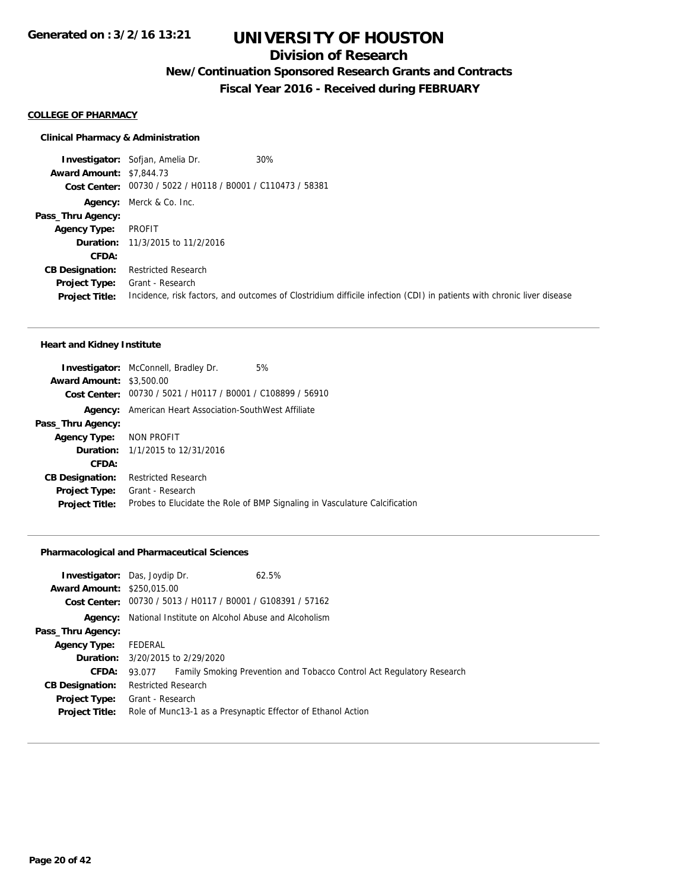### **Division of Research**

### **New/Continuation Sponsored Research Grants and Contracts**

**Fiscal Year 2016 - Received during FEBRUARY**

#### **COLLEGE OF PHARMACY**

### **Clinical Pharmacy & Administration**

**Investigator:** Sofjan, Amelia Dr. 30% **Award Amount:** \$7,844.73 **Cost Center:** 00730 / 5022 / H0118 / B0001 / C110473 / 58381 **Agency:** Merck & Co. Inc. **Pass\_Thru Agency: Agency Type:** PROFIT **Duration:** 11/3/2015 to 11/2/2016 **CFDA: CB Designation:** Restricted Research **Project Type:** Grant - Research **Project Title:** Incidence, risk factors, and outcomes of Clostridium difficile infection (CDI) in patients with chronic liver disease

#### **Heart and Kidney Institute**

|                                 | 5%<br><b>Investigator:</b> McConnell, Bradley Dr.                          |
|---------------------------------|----------------------------------------------------------------------------|
| <b>Award Amount: \$3,500.00</b> |                                                                            |
|                                 | Cost Center: 00730 / 5021 / H0117 / B0001 / C108899 / 56910                |
|                                 | <b>Agency:</b> American Heart Association-SouthWest Affiliate              |
| Pass_Thru Agency:               |                                                                            |
| Agency Type: NON PROFIT         |                                                                            |
|                                 | <b>Duration:</b> 1/1/2015 to 12/31/2016                                    |
| CFDA:                           |                                                                            |
| <b>CB Designation:</b>          | <b>Restricted Research</b>                                                 |
| <b>Project Type:</b>            | Grant - Research                                                           |
| <b>Project Title:</b>           | Probes to Elucidate the Role of BMP Signaling in Vasculature Calcification |
|                                 |                                                                            |

#### **Pharmacological and Pharmaceutical Sciences**

|                                   | <b>Investigator:</b> Das, Joydip Dr.                              | 62.5%                                                                 |
|-----------------------------------|-------------------------------------------------------------------|-----------------------------------------------------------------------|
| <b>Award Amount: \$250,015.00</b> |                                                                   |                                                                       |
|                                   | Cost Center: 00730 / 5013 / H0117 / B0001 / G108391 / 57162       |                                                                       |
|                                   | <b>Agency:</b> National Institute on Alcohol Abuse and Alcoholism |                                                                       |
| Pass_Thru Agency:                 |                                                                   |                                                                       |
| <b>Agency Type:</b>               | FEDERAL                                                           |                                                                       |
|                                   | <b>Duration:</b> 3/20/2015 to 2/29/2020                           |                                                                       |
| <b>CFDA:</b>                      | 93.077                                                            | Family Smoking Prevention and Tobacco Control Act Regulatory Research |
| <b>CB Designation:</b>            | <b>Restricted Research</b>                                        |                                                                       |
| <b>Project Type:</b>              | Grant - Research                                                  |                                                                       |
| <b>Project Title:</b>             |                                                                   | Role of Munc13-1 as a Presynaptic Effector of Ethanol Action          |
|                                   |                                                                   |                                                                       |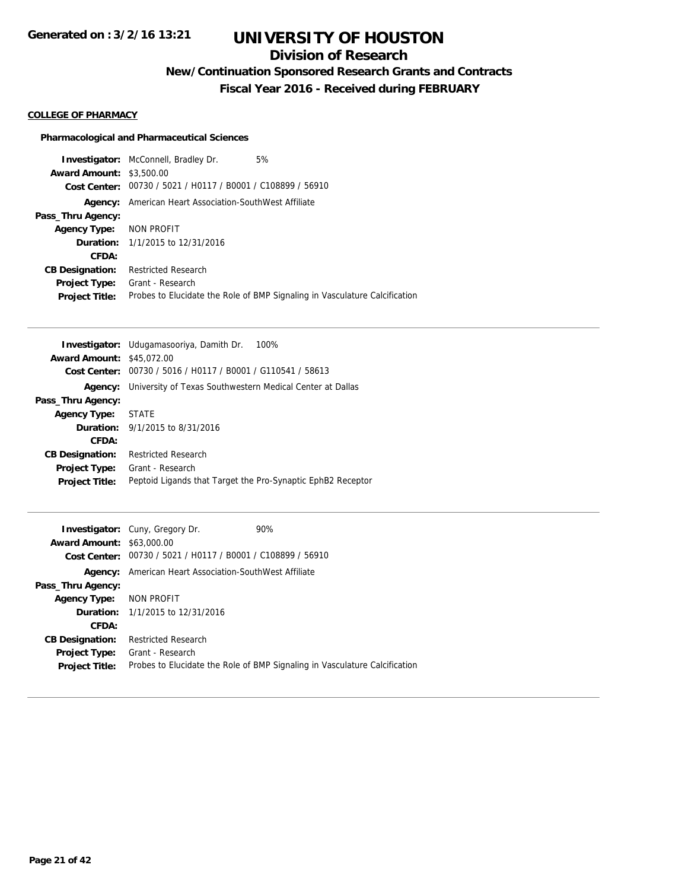## **Division of Research**

**New/Continuation Sponsored Research Grants and Contracts**

**Fiscal Year 2016 - Received during FEBRUARY**

### **COLLEGE OF PHARMACY**

### **Pharmacological and Pharmaceutical Sciences**

|                                 | <b>Investigator:</b> McConnell, Bradley Dr.                 | 5%                                                                         |
|---------------------------------|-------------------------------------------------------------|----------------------------------------------------------------------------|
| <b>Award Amount: \$3,500.00</b> |                                                             |                                                                            |
|                                 | Cost Center: 00730 / 5021 / H0117 / B0001 / C108899 / 56910 |                                                                            |
| Agency:                         | American Heart Association-SouthWest Affiliate              |                                                                            |
| Pass_Thru Agency:               |                                                             |                                                                            |
| Agency Type: NON PROFIT         |                                                             |                                                                            |
|                                 | <b>Duration:</b> 1/1/2015 to 12/31/2016                     |                                                                            |
| CFDA:                           |                                                             |                                                                            |
| <b>CB Designation:</b>          | <b>Restricted Research</b>                                  |                                                                            |
| <b>Project Type:</b>            | Grant - Research                                            |                                                                            |
| <b>Project Title:</b>           |                                                             | Probes to Elucidate the Role of BMP Signaling in Vasculature Calcification |

|                        | <b>Investigator:</b> Udugamasooriya, Damith Dr.<br>100%     |
|------------------------|-------------------------------------------------------------|
| <b>Award Amount:</b>   | \$45,072.00                                                 |
| Cost Center:           | 00730 / 5016 / H0117 / B0001 / G110541 / 58613              |
| Agency:                | University of Texas Southwestern Medical Center at Dallas   |
| Pass_Thru Agency:      |                                                             |
| <b>Agency Type:</b>    | <b>STATE</b>                                                |
|                        | <b>Duration:</b> 9/1/2015 to 8/31/2016                      |
| CFDA:                  |                                                             |
| <b>CB Designation:</b> | Restricted Research                                         |
| <b>Project Type:</b>   | Grant - Research                                            |
| <b>Project Title:</b>  | Peptoid Ligands that Target the Pro-Synaptic EphB2 Receptor |

|                                  | <b>Investigator:</b> Cuny, Gregory Dr.                      | 90%                                                                        |
|----------------------------------|-------------------------------------------------------------|----------------------------------------------------------------------------|
| <b>Award Amount: \$63,000.00</b> |                                                             |                                                                            |
|                                  | Cost Center: 00730 / 5021 / H0117 / B0001 / C108899 / 56910 |                                                                            |
| Agency:                          | American Heart Association-SouthWest Affiliate              |                                                                            |
| Pass_Thru Agency:                |                                                             |                                                                            |
| <b>Agency Type:</b>              | NON PROFIT                                                  |                                                                            |
|                                  | <b>Duration:</b> 1/1/2015 to 12/31/2016                     |                                                                            |
| CFDA:                            |                                                             |                                                                            |
| <b>CB Designation:</b>           | <b>Restricted Research</b>                                  |                                                                            |
| <b>Project Type:</b>             | Grant - Research                                            |                                                                            |
| <b>Project Title:</b>            |                                                             | Probes to Elucidate the Role of BMP Signaling in Vasculature Calcification |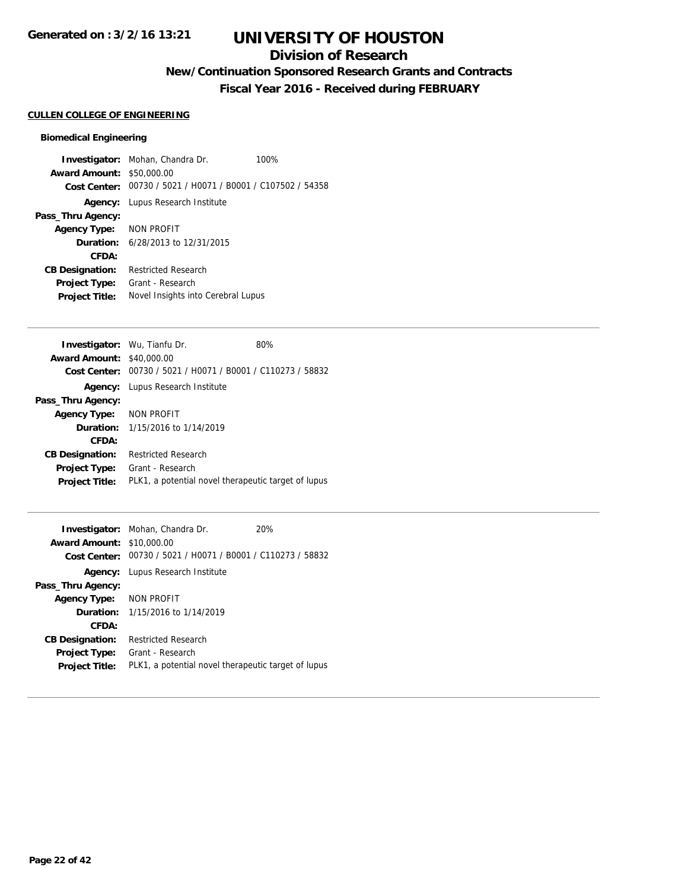## **Division of Research**

**New/Continuation Sponsored Research Grants and Contracts**

**Fiscal Year 2016 - Received during FEBRUARY**

### **CULLEN COLLEGE OF ENGINEERING**

### **Biomedical Engineering**

|                                  | <b>Investigator:</b> Mohan, Chandra Dr.                     | 100% |
|----------------------------------|-------------------------------------------------------------|------|
| <b>Award Amount: \$50,000.00</b> |                                                             |      |
|                                  | Cost Center: 00730 / 5021 / H0071 / B0001 / C107502 / 54358 |      |
|                                  | <b>Agency:</b> Lupus Research Institute                     |      |
| Pass_Thru Agency:                |                                                             |      |
| Agency Type: NON PROFIT          |                                                             |      |
|                                  | <b>Duration:</b> 6/28/2013 to 12/31/2015                    |      |
| CFDA:                            |                                                             |      |
| <b>CB Designation:</b>           | <b>Restricted Research</b>                                  |      |
| Project Type:                    | Grant - Research                                            |      |
| <b>Project Title:</b>            | Novel Insights into Cerebral Lupus                          |      |

| <b>Investigator:</b> Wu, Tianfu Dr. |                                                             | 80% |
|-------------------------------------|-------------------------------------------------------------|-----|
| <b>Award Amount: \$40,000.00</b>    |                                                             |     |
|                                     | Cost Center: 00730 / 5021 / H0071 / B0001 / C110273 / 58832 |     |
|                                     | <b>Agency:</b> Lupus Research Institute                     |     |
| Pass_Thru Agency:                   |                                                             |     |
| Agency Type: NON PROFIT             |                                                             |     |
|                                     | <b>Duration:</b> 1/15/2016 to 1/14/2019                     |     |
| CFDA:                               |                                                             |     |
| <b>CB Designation:</b>              | Restricted Research                                         |     |
| <b>Project Type:</b>                | Grant - Research                                            |     |
| <b>Project Title:</b>               | PLK1, a potential novel therapeutic target of lupus         |     |

| <b>Award Amount: \$10,000.00</b> | <b>Investigator:</b> Mohan, Chandra Dr.<br>Cost Center: 00730 / 5021 / H0071 / B0001 / C110273 / 58832 | 20% |
|----------------------------------|--------------------------------------------------------------------------------------------------------|-----|
|                                  | <b>Agency:</b> Lupus Research Institute                                                                |     |
| Pass_Thru Agency:                |                                                                                                        |     |
| Agency Type: NON PROFIT          |                                                                                                        |     |
|                                  | <b>Duration:</b> 1/15/2016 to 1/14/2019                                                                |     |
| CFDA:                            |                                                                                                        |     |
| <b>CB Designation:</b>           | <b>Restricted Research</b>                                                                             |     |
| <b>Project Type:</b>             | Grant - Research                                                                                       |     |
| <b>Project Title:</b>            | PLK1, a potential novel therapeutic target of lupus                                                    |     |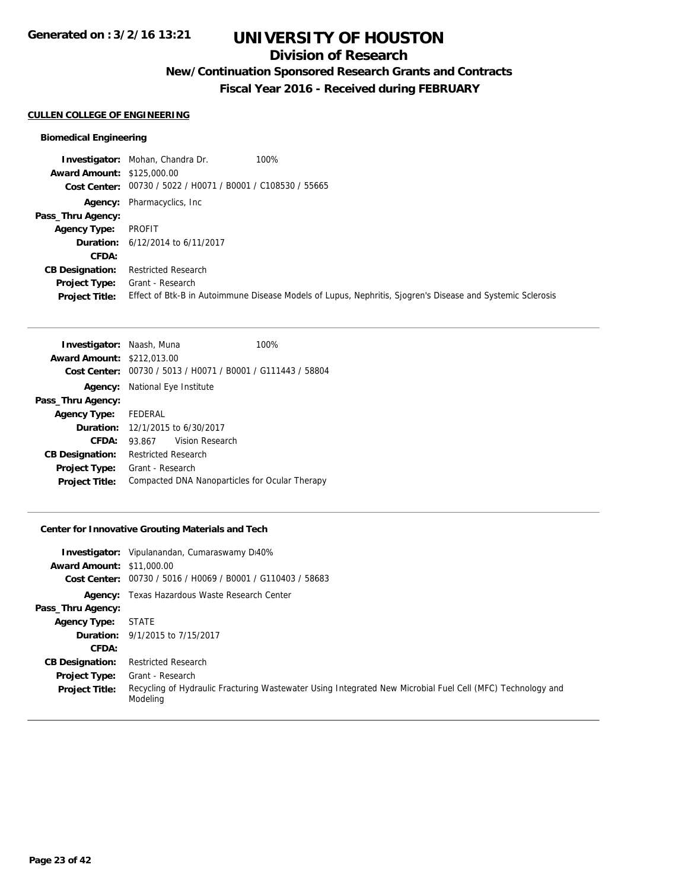## **Division of Research**

**New/Continuation Sponsored Research Grants and Contracts**

**Fiscal Year 2016 - Received during FEBRUARY**

### **CULLEN COLLEGE OF ENGINEERING**

### **Biomedical Engineering**

|                                   | 100%<br><b>Investigator:</b> Mohan, Chandra Dr.                                                            |
|-----------------------------------|------------------------------------------------------------------------------------------------------------|
| <b>Award Amount: \$125,000.00</b> |                                                                                                            |
|                                   | Cost Center: 00730 / 5022 / H0071 / B0001 / C108530 / 55665                                                |
|                                   | <b>Agency:</b> Pharmacyclics, Inc.                                                                         |
| Pass_Thru Agency:                 |                                                                                                            |
| <b>Agency Type:</b>               | PROFIT                                                                                                     |
|                                   | <b>Duration:</b> 6/12/2014 to 6/11/2017                                                                    |
| CFDA:                             |                                                                                                            |
| <b>CB Designation:</b>            | <b>Restricted Research</b>                                                                                 |
| <b>Project Type:</b>              | Grant - Research                                                                                           |
| <b>Project Title:</b>             | Effect of Btk-B in Autoimmune Disease Models of Lupus, Nephritis, Sjogren's Disease and Systemic Sclerosis |

| <b>Investigator: Naash, Muna</b>  |                                                | 100%            |  |
|-----------------------------------|------------------------------------------------|-----------------|--|
| <b>Award Amount: \$212,013.00</b> |                                                |                 |  |
| Cost Center:                      | 00730 / 5013 / H0071 / B0001 / G111443 / 58804 |                 |  |
| Agency:                           | National Eye Institute                         |                 |  |
| Pass_Thru Agency:                 |                                                |                 |  |
| Agency Type: FEDERAL              |                                                |                 |  |
|                                   | <b>Duration:</b> 12/1/2015 to 6/30/2017        |                 |  |
| CFDA:                             | 93.867                                         | Vision Research |  |
| <b>CB Designation:</b>            | <b>Restricted Research</b>                     |                 |  |
| <b>Project Type:</b>              | Grant - Research                               |                 |  |
| <b>Project Title:</b>             | Compacted DNA Nanoparticles for Ocular Therapy |                 |  |

### **Center for Innovative Grouting Materials and Tech**

| <b>Award Amount: \$11,000.00</b> | <b>Investigator:</b> Vipulanandan, Cumaraswamy Di40%<br>Cost Center: 00730 / 5016 / H0069 / B0001 / G110403 / 58683    |
|----------------------------------|------------------------------------------------------------------------------------------------------------------------|
|                                  | <b>Agency:</b> Texas Hazardous Waste Research Center                                                                   |
| Pass_Thru Agency:                |                                                                                                                        |
| <b>Agency Type:</b>              | STATE                                                                                                                  |
|                                  | <b>Duration:</b> 9/1/2015 to 7/15/2017                                                                                 |
| CFDA:                            |                                                                                                                        |
| <b>CB Designation:</b>           | <b>Restricted Research</b>                                                                                             |
| <b>Project Type:</b>             | Grant - Research                                                                                                       |
| <b>Project Title:</b>            | Recycling of Hydraulic Fracturing Wastewater Using Integrated New Microbial Fuel Cell (MFC) Technology and<br>Modelina |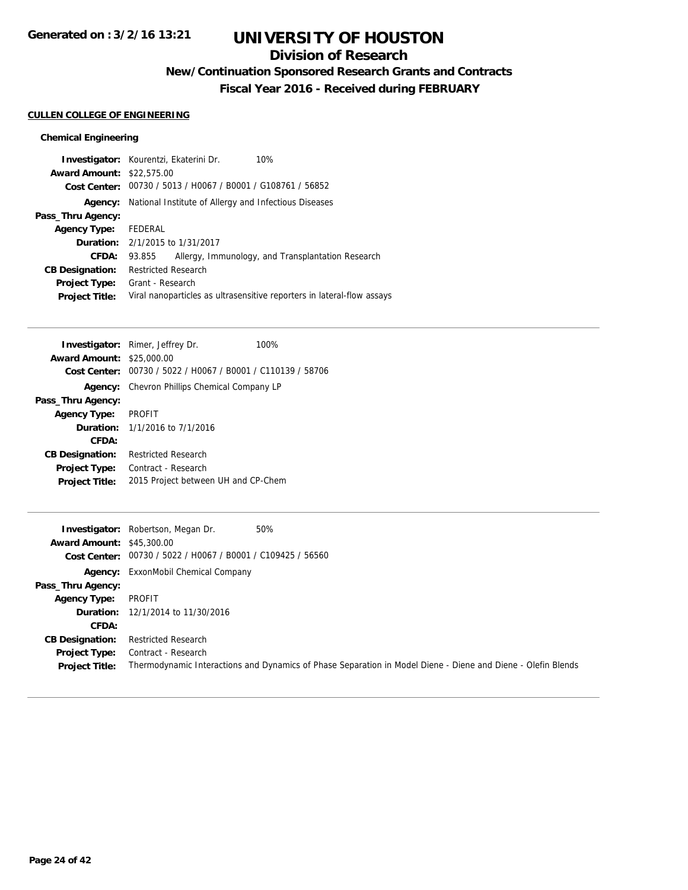## **Division of Research**

**New/Continuation Sponsored Research Grants and Contracts**

**Fiscal Year 2016 - Received during FEBRUARY**

### **CULLEN COLLEGE OF ENGINEERING**

### **Chemical Engineering**

|                                  | Investigator: Kourentzi, Ekaterini Dr.<br>10%                          |                                                   |
|----------------------------------|------------------------------------------------------------------------|---------------------------------------------------|
| <b>Award Amount: \$22,575.00</b> |                                                                        |                                                   |
|                                  | Cost Center: 00730 / 5013 / H0067 / B0001 / G108761 / 56852            |                                                   |
| Agency:                          | National Institute of Allergy and Infectious Diseases                  |                                                   |
| Pass_Thru Agency:                |                                                                        |                                                   |
| <b>Agency Type:</b>              | FEDERAL                                                                |                                                   |
|                                  | <b>Duration:</b> 2/1/2015 to 1/31/2017                                 |                                                   |
| <b>CFDA:</b>                     | 93.855                                                                 | Allergy, Immunology, and Transplantation Research |
| <b>CB Designation:</b>           | <b>Restricted Research</b>                                             |                                                   |
| <b>Project Type:</b>             | Grant - Research                                                       |                                                   |
| <b>Project Title:</b>            | Viral nanoparticles as ultrasensitive reporters in lateral-flow assays |                                                   |

|                                  | <b>Investigator:</b> Rimer, Jeffrey Dr.        | 100% |
|----------------------------------|------------------------------------------------|------|
| <b>Award Amount: \$25,000.00</b> |                                                |      |
| Cost Center:                     | 00730 / 5022 / H0067 / B0001 / C110139 / 58706 |      |
| Agency:                          | Chevron Phillips Chemical Company LP           |      |
| Pass_Thru Agency:                |                                                |      |
| <b>Agency Type:</b>              | <b>PROFIT</b>                                  |      |
|                                  | <b>Duration:</b> 1/1/2016 to 7/1/2016          |      |
| <b>CFDA:</b>                     |                                                |      |
| <b>CB Designation:</b>           | Restricted Research                            |      |
| <b>Project Type:</b>             | Contract - Research                            |      |
| <b>Project Title:</b>            | 2015 Project between UH and CP-Chem            |      |
|                                  |                                                |      |

| <b>Award Amount: \$45,300.00</b> | 50%<br><b>Investigator:</b> Robertson, Megan Dr.                                                             |
|----------------------------------|--------------------------------------------------------------------------------------------------------------|
|                                  | Cost Center: 00730 / 5022 / H0067 / B0001 / C109425 / 56560                                                  |
|                                  | <b>Agency:</b> ExxonMobil Chemical Company                                                                   |
| Pass_Thru Agency:                |                                                                                                              |
| <b>Agency Type:</b>              | PROFIT                                                                                                       |
|                                  | <b>Duration:</b> 12/1/2014 to 11/30/2016                                                                     |
| CFDA:                            |                                                                                                              |
| <b>CB Designation:</b>           | <b>Restricted Research</b>                                                                                   |
| <b>Project Type:</b>             | Contract - Research                                                                                          |
| <b>Project Title:</b>            | Thermodynamic Interactions and Dynamics of Phase Separation in Model Diene - Diene and Diene - Olefin Blends |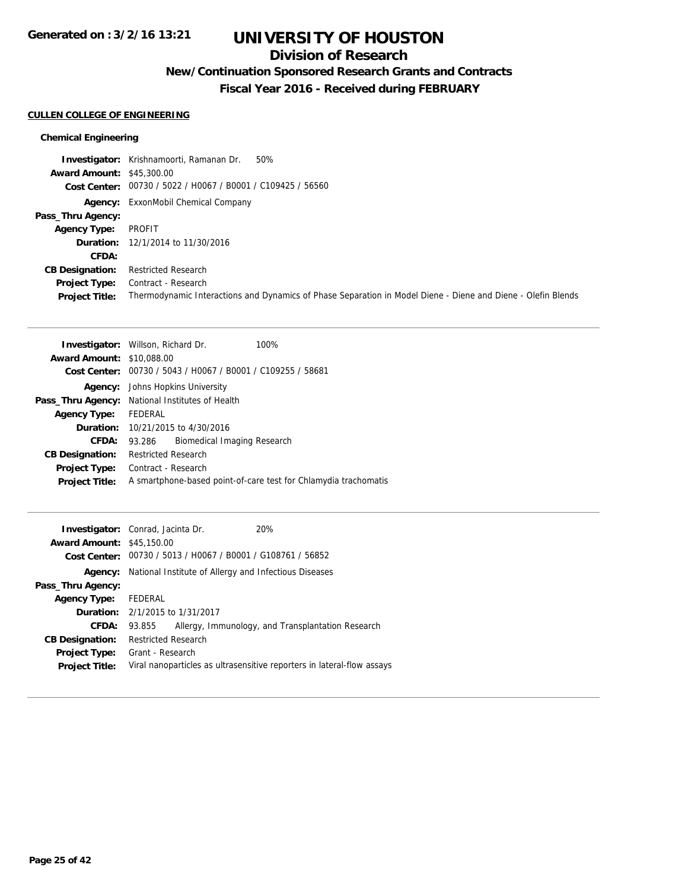## **Division of Research**

**New/Continuation Sponsored Research Grants and Contracts**

**Fiscal Year 2016 - Received during FEBRUARY**

### **CULLEN COLLEGE OF ENGINEERING**

### **Chemical Engineering**

|                                  | <b>Investigator:</b> Krishnamoorti, Ramanan Dr.<br>50%                                                       |
|----------------------------------|--------------------------------------------------------------------------------------------------------------|
| <b>Award Amount: \$45,300.00</b> |                                                                                                              |
|                                  | Cost Center: 00730 / 5022 / H0067 / B0001 / C109425 / 56560                                                  |
|                                  | <b>Agency:</b> ExxonMobil Chemical Company                                                                   |
| Pass_Thru Agency:                |                                                                                                              |
| <b>Agency Type:</b>              | PROFIT                                                                                                       |
|                                  | <b>Duration:</b> 12/1/2014 to 11/30/2016                                                                     |
| <b>CFDA:</b>                     |                                                                                                              |
| <b>CB Designation:</b>           | <b>Restricted Research</b>                                                                                   |
| <b>Project Type:</b>             | Contract - Research                                                                                          |
| <b>Project Title:</b>            | Thermodynamic Interactions and Dynamics of Phase Separation in Model Diene - Diene and Diene - Olefin Blends |

| <b>Investigator:</b> Willson, Richard Dr.       | 100%                                                            |  |
|-------------------------------------------------|-----------------------------------------------------------------|--|
| <b>Award Amount: \$10,088,00</b>                |                                                                 |  |
| 00730 / 5043 / H0067 / B0001 / C109255 / 58681  |                                                                 |  |
| Johns Hopkins University                        |                                                                 |  |
| Pass_Thru Agency: National Institutes of Health |                                                                 |  |
| FEDERAL                                         |                                                                 |  |
| <b>Duration:</b> 10/21/2015 to 4/30/2016        |                                                                 |  |
| Biomedical Imaging Research<br>93.286           |                                                                 |  |
| <b>Restricted Research</b>                      |                                                                 |  |
| Contract - Research                             |                                                                 |  |
|                                                 | A smartphone-based point-of-care test for Chlamydia trachomatis |  |
|                                                 |                                                                 |  |

| <b>Investigator:</b> Conrad, Jacinta Dr. |                            |                                                             | 20%                                                                    |
|------------------------------------------|----------------------------|-------------------------------------------------------------|------------------------------------------------------------------------|
| <b>Award Amount: \$45,150.00</b>         |                            |                                                             |                                                                        |
|                                          |                            | Cost Center: 00730 / 5013 / H0067 / B0001 / G108761 / 56852 |                                                                        |
| Agency:                                  |                            |                                                             | National Institute of Allergy and Infectious Diseases                  |
| Pass_Thru Agency:                        |                            |                                                             |                                                                        |
| <b>Agency Type:</b>                      | FEDERAL                    |                                                             |                                                                        |
| <b>Duration:</b> 2/1/2015 to 1/31/2017   |                            |                                                             |                                                                        |
| CFDA:                                    | 93.855                     |                                                             | Allergy, Immunology, and Transplantation Research                      |
| <b>CB Designation:</b>                   | <b>Restricted Research</b> |                                                             |                                                                        |
| <b>Project Type:</b>                     | Grant - Research           |                                                             |                                                                        |
| <b>Project Title:</b>                    |                            |                                                             | Viral nanoparticles as ultrasensitive reporters in lateral-flow assays |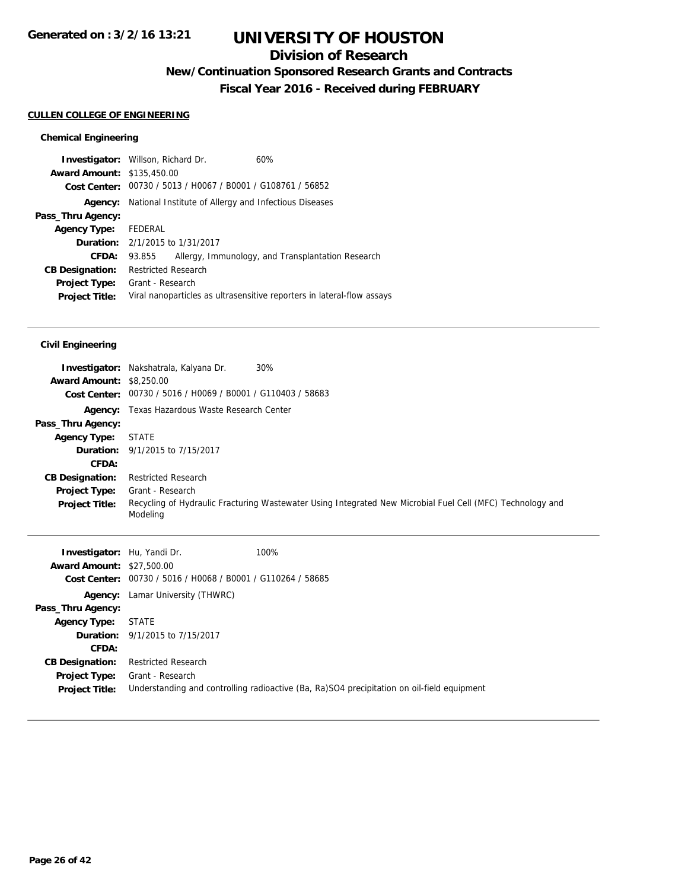## **Division of Research**

**New/Continuation Sponsored Research Grants and Contracts**

**Fiscal Year 2016 - Received during FEBRUARY**

### **CULLEN COLLEGE OF ENGINEERING**

### **Chemical Engineering**

| <b>Investigator:</b> Willson, Richard Dr. |                            |                                                             | 60%                                                                    |
|-------------------------------------------|----------------------------|-------------------------------------------------------------|------------------------------------------------------------------------|
| <b>Award Amount: \$135,450.00</b>         |                            |                                                             |                                                                        |
|                                           |                            | Cost Center: 00730 / 5013 / H0067 / B0001 / G108761 / 56852 |                                                                        |
|                                           |                            |                                                             | <b>Agency:</b> National Institute of Allergy and Infectious Diseases   |
| Pass_Thru Agency:                         |                            |                                                             |                                                                        |
| <b>Agency Type:</b>                       | FEDERAL                    |                                                             |                                                                        |
|                                           |                            | <b>Duration:</b> 2/1/2015 to 1/31/2017                      |                                                                        |
| CFDA:                                     | 93.855                     |                                                             | Allergy, Immunology, and Transplantation Research                      |
| <b>CB Designation:</b>                    | <b>Restricted Research</b> |                                                             |                                                                        |
| <b>Project Type:</b>                      | Grant - Research           |                                                             |                                                                        |
| <b>Project Title:</b>                     |                            |                                                             | Viral nanoparticles as ultrasensitive reporters in lateral-flow assays |
|                                           |                            |                                                             |                                                                        |

| <b>Award Amount: \$8,250.00</b> | 30%<br><b>Investigator:</b> Nakshatrala, Kalyana Dr.<br>Cost Center: 00730 / 5016 / H0069 / B0001 / G110403 / 58683    |
|---------------------------------|------------------------------------------------------------------------------------------------------------------------|
|                                 | <b>Agency:</b> Texas Hazardous Waste Research Center                                                                   |
| Pass_Thru Agency:               |                                                                                                                        |
| <b>Agency Type:</b>             | STATE                                                                                                                  |
|                                 | <b>Duration:</b> 9/1/2015 to 7/15/2017                                                                                 |
| CFDA:                           |                                                                                                                        |
| <b>CB Designation:</b>          | <b>Restricted Research</b>                                                                                             |
| <b>Project Type:</b>            | Grant - Research                                                                                                       |
| <b>Project Title:</b>           | Recycling of Hydraulic Fracturing Wastewater Using Integrated New Microbial Fuel Cell (MFC) Technology and<br>Modeling |

| <b>Investigator:</b> Hu, Yandi Dr.<br><b>Award Amount: \$27,500.00</b> | 100%                                                                                                           |  |
|------------------------------------------------------------------------|----------------------------------------------------------------------------------------------------------------|--|
|                                                                        | Cost Center: 00730 / 5016 / H0068 / B0001 / G110264 / 58685                                                    |  |
|                                                                        | <b>Agency:</b> Lamar University (THWRC)                                                                        |  |
| Pass_Thru Agency:                                                      |                                                                                                                |  |
| <b>Agency Type:</b>                                                    | <b>STATE</b>                                                                                                   |  |
|                                                                        | <b>Duration:</b> 9/1/2015 to 7/15/2017                                                                         |  |
| CFDA:                                                                  |                                                                                                                |  |
| <b>CB Designation:</b>                                                 | Restricted Research                                                                                            |  |
| <b>Project Type:</b><br><b>Project Title:</b>                          | Grant - Research<br>Understanding and controlling radioactive (Ba, Ra)SO4 precipitation on oil-field equipment |  |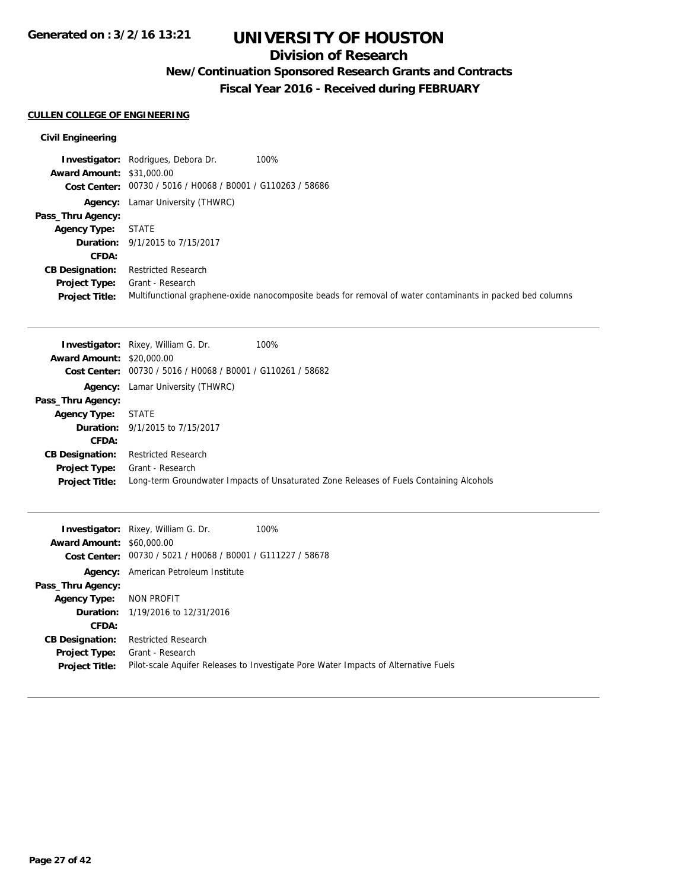## **Division of Research**

## **New/Continuation Sponsored Research Grants and Contracts**

**Fiscal Year 2016 - Received during FEBRUARY**

### **CULLEN COLLEGE OF ENGINEERING**

|                                  | 100%<br><b>Investigator:</b> Rodrigues, Debora Dr.          |                                                                                                            |
|----------------------------------|-------------------------------------------------------------|------------------------------------------------------------------------------------------------------------|
| <b>Award Amount: \$31,000.00</b> |                                                             |                                                                                                            |
|                                  | Cost Center: 00730 / 5016 / H0068 / B0001 / G110263 / 58686 |                                                                                                            |
|                                  | <b>Agency:</b> Lamar University (THWRC)                     |                                                                                                            |
| Pass_Thru Agency:                |                                                             |                                                                                                            |
| <b>Agency Type:</b>              | STATE                                                       |                                                                                                            |
|                                  | <b>Duration:</b> 9/1/2015 to 7/15/2017                      |                                                                                                            |
| CFDA:                            |                                                             |                                                                                                            |
| <b>CB Designation:</b>           | <b>Restricted Research</b>                                  |                                                                                                            |
| <b>Project Type:</b>             | Grant - Research                                            |                                                                                                            |
| <b>Project Title:</b>            |                                                             | Multifunctional graphene-oxide nanocomposite beads for removal of water contaminants in packed bed columns |

|                                  | <b>Investigator:</b> Rixey, William G. Dr.     | 100%                                                                                    |
|----------------------------------|------------------------------------------------|-----------------------------------------------------------------------------------------|
| <b>Award Amount: \$20,000.00</b> |                                                |                                                                                         |
| Cost Center:                     | 00730 / 5016 / H0068 / B0001 / G110261 / 58682 |                                                                                         |
|                                  | <b>Agency:</b> Lamar University (THWRC)        |                                                                                         |
| Pass_Thru Agency:                |                                                |                                                                                         |
| <b>Agency Type:</b>              | <b>STATE</b>                                   |                                                                                         |
|                                  | <b>Duration:</b> 9/1/2015 to 7/15/2017         |                                                                                         |
| CFDA:                            |                                                |                                                                                         |
| <b>CB Designation:</b>           | Restricted Research                            |                                                                                         |
| <b>Project Type:</b>             | Grant - Research                               |                                                                                         |
| <b>Project Title:</b>            |                                                | Long-term Groundwater Impacts of Unsaturated Zone Releases of Fuels Containing Alcohols |

| <b>Award Amount: \$60,000.00</b> | <b>Investigator:</b> Rixey, William G. Dr.                  | 100%                                                                                |
|----------------------------------|-------------------------------------------------------------|-------------------------------------------------------------------------------------|
|                                  |                                                             |                                                                                     |
|                                  | Cost Center: 00730 / 5021 / H0068 / B0001 / G111227 / 58678 |                                                                                     |
|                                  | <b>Agency:</b> American Petroleum Institute                 |                                                                                     |
| Pass_Thru Agency:                |                                                             |                                                                                     |
| Agency Type: NON PROFIT          |                                                             |                                                                                     |
|                                  | <b>Duration:</b> 1/19/2016 to 12/31/2016                    |                                                                                     |
| CFDA:                            |                                                             |                                                                                     |
| <b>CB Designation:</b>           | <b>Restricted Research</b>                                  |                                                                                     |
| <b>Project Type:</b>             | Grant - Research                                            |                                                                                     |
| <b>Project Title:</b>            |                                                             | Pilot-scale Aquifer Releases to Investigate Pore Water Impacts of Alternative Fuels |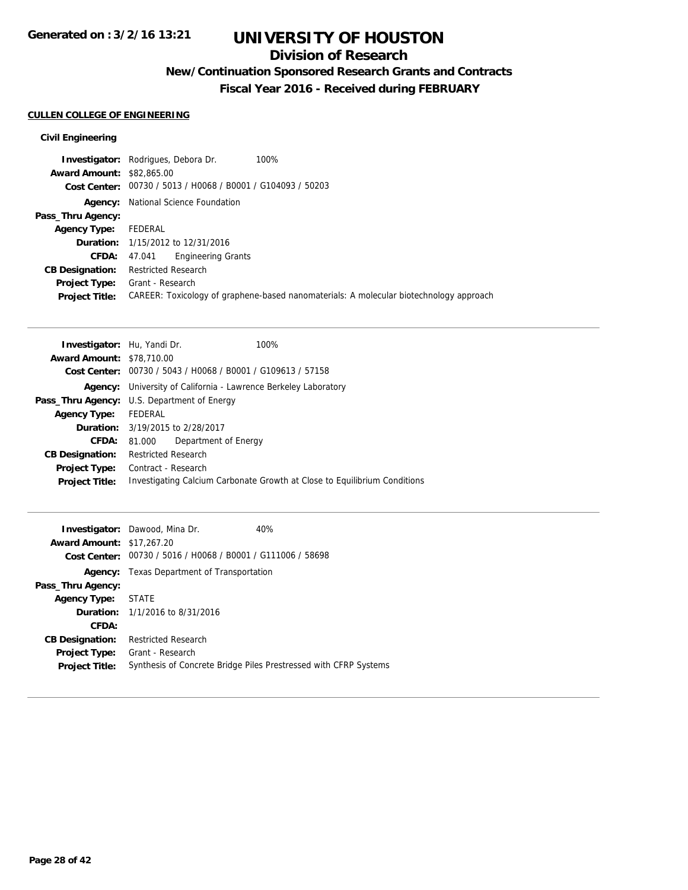## **Division of Research**

## **New/Continuation Sponsored Research Grants and Contracts**

**Fiscal Year 2016 - Received during FEBRUARY**

### **CULLEN COLLEGE OF ENGINEERING**

|                                  | <b>Investigator:</b> Rodrigues, Debora Dr.<br>100%                                     |
|----------------------------------|----------------------------------------------------------------------------------------|
| <b>Award Amount: \$82,865,00</b> |                                                                                        |
|                                  | Cost Center: 00730 / 5013 / H0068 / B0001 / G104093 / 50203                            |
|                                  | <b>Agency:</b> National Science Foundation                                             |
| Pass_Thru Agency:                |                                                                                        |
| <b>Agency Type:</b>              | FEDERAL                                                                                |
|                                  | <b>Duration:</b> 1/15/2012 to 12/31/2016                                               |
| <b>CFDA:</b>                     | Engineering Grants<br>47.041                                                           |
| <b>CB Designation:</b>           | <b>Restricted Research</b>                                                             |
| <b>Project Type:</b>             | Grant - Research                                                                       |
| <b>Project Title:</b>            | CAREER: Toxicology of graphene-based nanomaterials: A molecular biotechnology approach |

| <b>Investigator:</b> Hu, Yandi Dr.                 |                            | 100%                                                                      |
|----------------------------------------------------|----------------------------|---------------------------------------------------------------------------|
| <b>Award Amount: \$78,710.00</b>                   |                            |                                                                           |
| Cost Center:                                       |                            | 00730 / 5043 / H0068 / B0001 / G109613 / 57158                            |
|                                                    |                            | <b>Agency:</b> University of California - Lawrence Berkeley Laboratory    |
| <b>Pass_Thru Agency:</b> U.S. Department of Energy |                            |                                                                           |
| <b>Agency Type:</b>                                | FEDERAL                    |                                                                           |
|                                                    |                            | <b>Duration:</b> 3/19/2015 to 2/28/2017                                   |
| <b>CFDA:</b>                                       | 81.000                     | Department of Energy                                                      |
| <b>CB Designation:</b>                             | <b>Restricted Research</b> |                                                                           |
| <b>Project Type:</b>                               | Contract - Research        |                                                                           |
| <b>Project Title:</b>                              |                            | Investigating Calcium Carbonate Growth at Close to Equilibrium Conditions |
|                                                    |                            |                                                                           |

| <b>Award Amount: \$17,267.20</b> | <b>Investigator:</b> Dawood, Mina Dr.                       | 40%                                                              |
|----------------------------------|-------------------------------------------------------------|------------------------------------------------------------------|
|                                  | Cost Center: 00730 / 5016 / H0068 / B0001 / G111006 / 58698 |                                                                  |
| Agency:                          | Texas Department of Transportation                          |                                                                  |
| Pass_Thru Agency:                |                                                             |                                                                  |
| <b>Agency Type: STATE</b>        |                                                             |                                                                  |
|                                  | <b>Duration:</b> 1/1/2016 to 8/31/2016                      |                                                                  |
| CFDA:                            |                                                             |                                                                  |
| <b>CB Designation:</b>           | <b>Restricted Research</b>                                  |                                                                  |
| Project Type:                    | Grant - Research                                            |                                                                  |
| <b>Project Title:</b>            |                                                             | Synthesis of Concrete Bridge Piles Prestressed with CFRP Systems |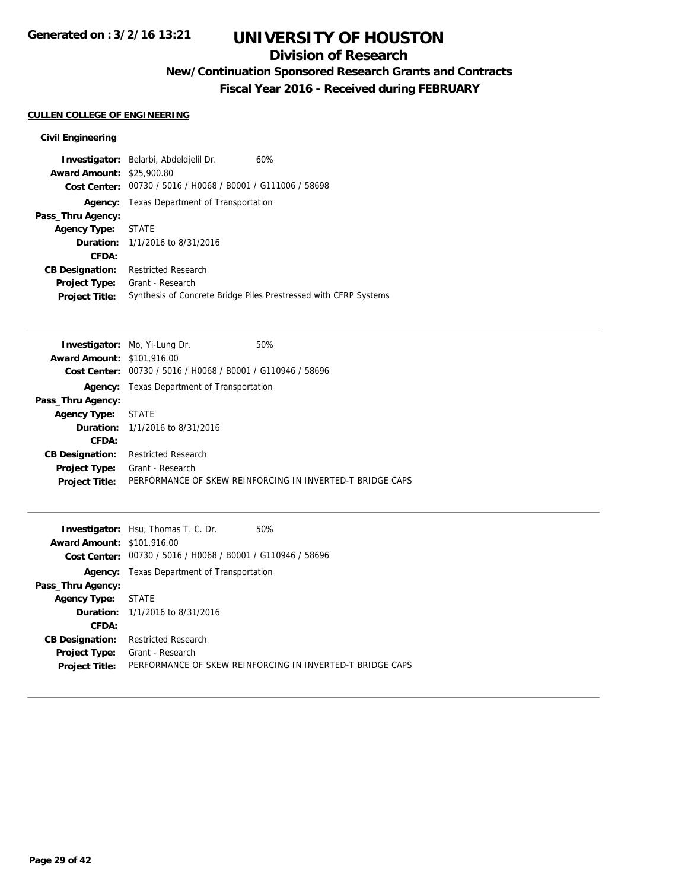## **Division of Research**

**New/Continuation Sponsored Research Grants and Contracts**

**Fiscal Year 2016 - Received during FEBRUARY**

### **CULLEN COLLEGE OF ENGINEERING**

| <b>Award Amount: \$25,900.80</b> | <b>Investigator:</b> Belarbi, Abdeldjelil Dr.<br>Cost Center: 00730 / 5016 / H0068 / B0001 / G111006 / 58698 | 60%                                                              |
|----------------------------------|--------------------------------------------------------------------------------------------------------------|------------------------------------------------------------------|
|                                  | <b>Agency:</b> Texas Department of Transportation                                                            |                                                                  |
| Pass_Thru Agency:                |                                                                                                              |                                                                  |
| Agency Type: STATE               |                                                                                                              |                                                                  |
|                                  | <b>Duration:</b> 1/1/2016 to 8/31/2016                                                                       |                                                                  |
| CFDA:                            |                                                                                                              |                                                                  |
| <b>CB Designation:</b>           | <b>Restricted Research</b>                                                                                   |                                                                  |
| Project Type:                    | Grant - Research                                                                                             |                                                                  |
| <b>Project Title:</b>            |                                                                                                              | Synthesis of Concrete Bridge Piles Prestressed with CFRP Systems |

|                                   | <b>Investigator:</b> Mo, Yi-Lung Dr.              | 50%                                                       |
|-----------------------------------|---------------------------------------------------|-----------------------------------------------------------|
| <b>Award Amount: \$101,916.00</b> |                                                   |                                                           |
| Cost Center:                      | 00730 / 5016 / H0068 / B0001 / G110946 / 58696    |                                                           |
|                                   | <b>Agency:</b> Texas Department of Transportation |                                                           |
| Pass_Thru Agency:                 |                                                   |                                                           |
| <b>Agency Type:</b>               | STATE                                             |                                                           |
|                                   | <b>Duration:</b> $1/1/2016$ to $8/31/2016$        |                                                           |
| CFDA:                             |                                                   |                                                           |
| <b>CB Designation:</b>            | <b>Restricted Research</b>                        |                                                           |
| <b>Project Type:</b>              | Grant - Research                                  |                                                           |
| <b>Project Title:</b>             |                                                   | PERFORMANCE OF SKEW REINFORCING IN INVERTED-T BRIDGE CAPS |
|                                   |                                                   |                                                           |

|                                   | <b>Investigator:</b> Hsu, Thomas T. C. Dr.                  | 50%                                                       |
|-----------------------------------|-------------------------------------------------------------|-----------------------------------------------------------|
| <b>Award Amount: \$101,916.00</b> |                                                             |                                                           |
|                                   | Cost Center: 00730 / 5016 / H0068 / B0001 / G110946 / 58696 |                                                           |
| Agency:                           | Texas Department of Transportation                          |                                                           |
| Pass_Thru Agency:                 |                                                             |                                                           |
| <b>Agency Type: STATE</b>         |                                                             |                                                           |
|                                   | <b>Duration:</b> $1/1/2016$ to $8/31/2016$                  |                                                           |
| CFDA:                             |                                                             |                                                           |
| <b>CB Designation:</b>            | <b>Restricted Research</b>                                  |                                                           |
| <b>Project Type:</b>              | Grant - Research                                            |                                                           |
| <b>Project Title:</b>             |                                                             | PERFORMANCE OF SKEW REINFORCING IN INVERTED-T BRIDGE CAPS |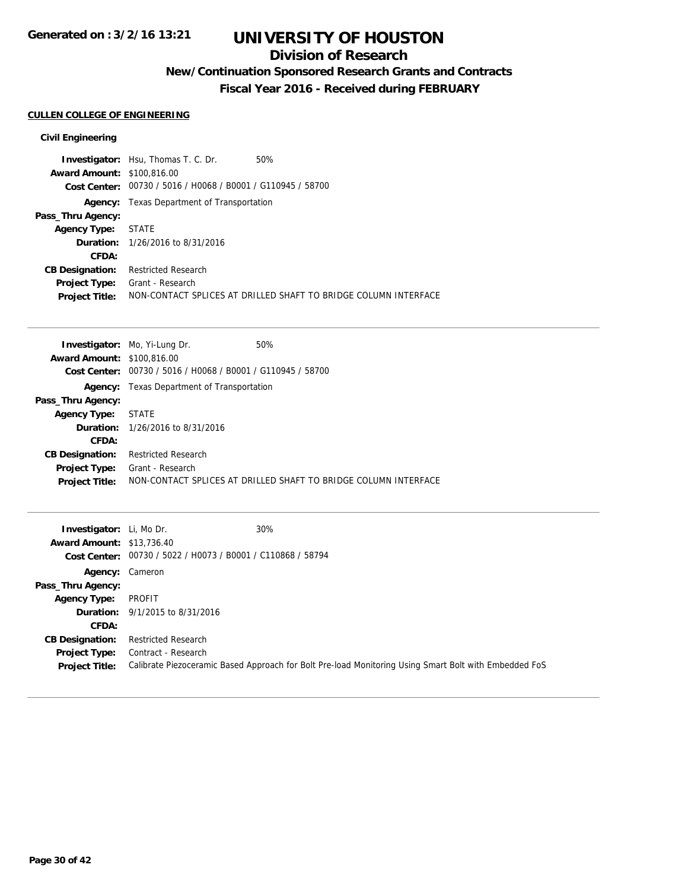## **Division of Research**

## **New/Continuation Sponsored Research Grants and Contracts**

**Fiscal Year 2016 - Received during FEBRUARY**

### **CULLEN COLLEGE OF ENGINEERING**

|                                   | 50%<br><b>Investigator:</b> Hsu, Thomas T. C. Dr.               |
|-----------------------------------|-----------------------------------------------------------------|
| <b>Award Amount: \$100,816,00</b> |                                                                 |
|                                   | Cost Center: 00730 / 5016 / H0068 / B0001 / G110945 / 58700     |
|                                   | <b>Agency:</b> Texas Department of Transportation               |
| Pass_Thru Agency:                 |                                                                 |
| <b>Agency Type: STATE</b>         |                                                                 |
|                                   | <b>Duration:</b> 1/26/2016 to 8/31/2016                         |
| CFDA:                             |                                                                 |
| <b>CB Designation:</b>            | <b>Restricted Research</b>                                      |
| <b>Project Type:</b>              | Grant - Research                                                |
| <b>Project Title:</b>             | NON-CONTACT SPLICES AT DRILLED SHAFT TO BRIDGE COLUMN INTERFACE |

| <b>Investigator:</b> Mo, Yi-Lung Dr.           | 50%                                                             |
|------------------------------------------------|-----------------------------------------------------------------|
| <b>Award Amount: \$100,816,00</b>              |                                                                 |
| 00730 / 5016 / H0068 / B0001 / G110945 / 58700 |                                                                 |
| Texas Department of Transportation             |                                                                 |
|                                                |                                                                 |
| STATE                                          |                                                                 |
| <b>Duration:</b> 1/26/2016 to 8/31/2016        |                                                                 |
|                                                |                                                                 |
| <b>Restricted Research</b>                     |                                                                 |
| Grant - Research                               |                                                                 |
|                                                | NON-CONTACT SPLICES AT DRILLED SHAFT TO BRIDGE COLUMN INTERFACE |
|                                                |                                                                 |

| <b>Investigator:</b> Li, Mo Dr.<br><b>Award Amount: \$13,736.40</b> | Cost Center: 00730 / 5022 / H0073 / B0001 / C110868 / 58794 | 30%                                                                                                   |
|---------------------------------------------------------------------|-------------------------------------------------------------|-------------------------------------------------------------------------------------------------------|
| Agency: Cameron                                                     |                                                             |                                                                                                       |
| Pass_Thru Agency:                                                   |                                                             |                                                                                                       |
| <b>Agency Type:</b>                                                 | PROFIT                                                      |                                                                                                       |
|                                                                     | <b>Duration:</b> 9/1/2015 to 8/31/2016                      |                                                                                                       |
| <b>CFDA:</b>                                                        |                                                             |                                                                                                       |
| <b>CB Designation:</b>                                              | Restricted Research                                         |                                                                                                       |
| <b>Project Type:</b>                                                | Contract - Research                                         |                                                                                                       |
| <b>Project Title:</b>                                               |                                                             | Calibrate Piezoceramic Based Approach for Bolt Pre-load Monitoring Using Smart Bolt with Embedded FoS |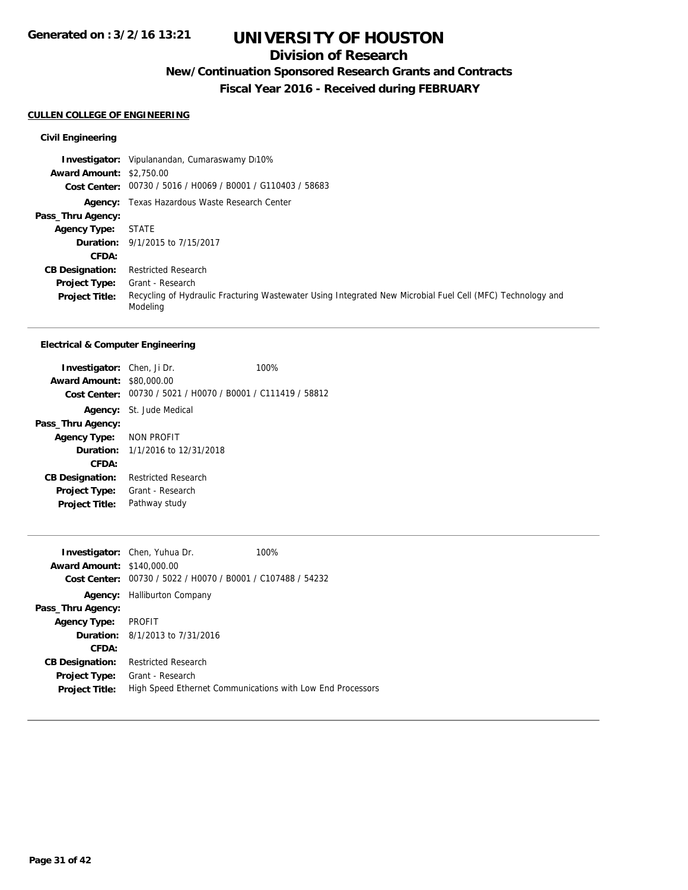## **Division of Research**

**New/Continuation Sponsored Research Grants and Contracts**

**Fiscal Year 2016 - Received during FEBRUARY**

### **CULLEN COLLEGE OF ENGINEERING**

### **Civil Engineering**

|                                 | <b>Investigator:</b> Vipulanandan, Cumaraswamy Di10%                                                                   |
|---------------------------------|------------------------------------------------------------------------------------------------------------------------|
| <b>Award Amount: \$2,750.00</b> |                                                                                                                        |
|                                 | Cost Center: 00730 / 5016 / H0069 / B0001 / G110403 / 58683                                                            |
|                                 | <b>Agency:</b> Texas Hazardous Waste Research Center                                                                   |
| Pass_Thru Agency:               |                                                                                                                        |
| <b>Agency Type:</b>             | <b>STATE</b>                                                                                                           |
|                                 | <b>Duration:</b> 9/1/2015 to 7/15/2017                                                                                 |
| <b>CFDA:</b>                    |                                                                                                                        |
| <b>CB Designation:</b>          | <b>Restricted Research</b>                                                                                             |
| <b>Project Type:</b>            | Grant - Research                                                                                                       |
| <b>Project Title:</b>           | Recycling of Hydraulic Fracturing Wastewater Using Integrated New Microbial Fuel Cell (MFC) Technology and<br>Modeling |

#### **Electrical & Computer Engineering**

| <b>Investigator:</b> Chen, Ji Dr.<br><b>Award Amount: \$80,000.00</b> | Cost Center: 00730 / 5021 / H0070 / B0001 / C111419 / 58812 | 100% |
|-----------------------------------------------------------------------|-------------------------------------------------------------|------|
|                                                                       | <b>Agency:</b> St. Jude Medical                             |      |
| Pass_Thru Agency:                                                     |                                                             |      |
| Agency Type: NON PROFIT                                               |                                                             |      |
|                                                                       | <b>Duration:</b> $1/1/2016$ to $12/31/2018$                 |      |
| CFDA:                                                                 |                                                             |      |
| <b>CB Designation:</b>                                                | Restricted Research                                         |      |
|                                                                       | <b>Project Type:</b> Grant - Research                       |      |
| <b>Project Title:</b>                                                 | Pathway study                                               |      |

| <b>Award Amount: \$140,000.00</b><br>Cost Center: | <b>Investigator:</b> Chen, Yuhua Dr.<br>00730 / 5022 / H0070 / B0001 / C107488 / 54232 | 100%                                                       |
|---------------------------------------------------|----------------------------------------------------------------------------------------|------------------------------------------------------------|
|                                                   | <b>Agency:</b> Halliburton Company                                                     |                                                            |
| Pass_Thru Agency:                                 |                                                                                        |                                                            |
| <b>Agency Type:</b>                               | PROFIT                                                                                 |                                                            |
|                                                   | <b>Duration:</b> 8/1/2013 to 7/31/2016                                                 |                                                            |
| CFDA:                                             |                                                                                        |                                                            |
| <b>CB Designation:</b>                            | <b>Restricted Research</b>                                                             |                                                            |
| <b>Project Type:</b>                              | Grant - Research                                                                       |                                                            |
| <b>Project Title:</b>                             |                                                                                        | High Speed Ethernet Communications with Low End Processors |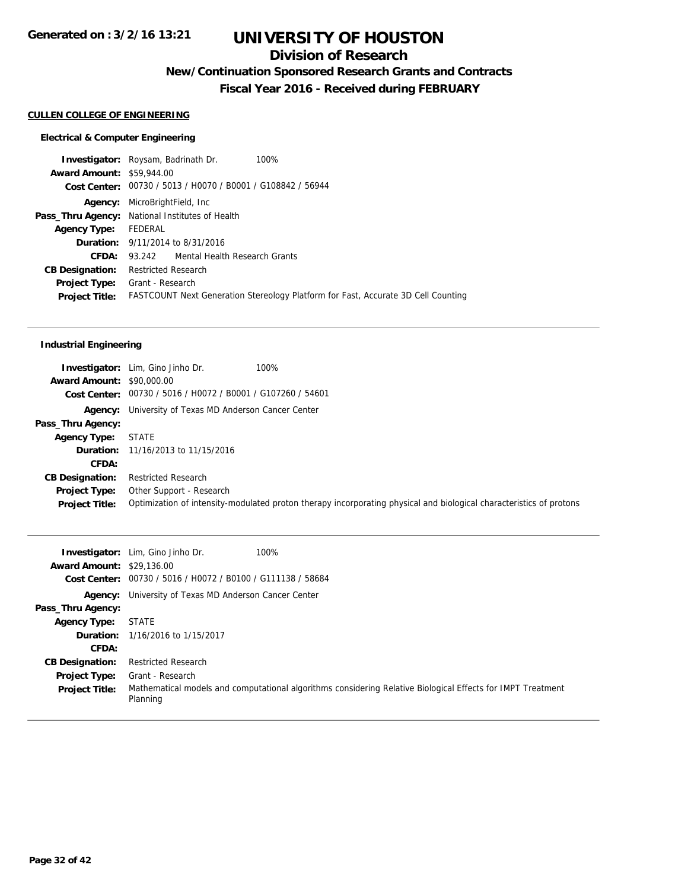## **Division of Research**

**New/Continuation Sponsored Research Grants and Contracts**

**Fiscal Year 2016 - Received during FEBRUARY**

## **CULLEN COLLEGE OF ENGINEERING**

### **Electrical & Computer Engineering**

|                                  | <b>Investigator:</b> Roysam, Badrinath Dr.                  | 100%                                                                              |
|----------------------------------|-------------------------------------------------------------|-----------------------------------------------------------------------------------|
| <b>Award Amount: \$59,944.00</b> |                                                             |                                                                                   |
|                                  | Cost Center: 00730 / 5013 / H0070 / B0001 / G108842 / 56944 |                                                                                   |
| Agency:                          | MicroBrightField, Inc                                       |                                                                                   |
|                                  | Pass_Thru Agency: National Institutes of Health             |                                                                                   |
| <b>Agency Type:</b>              | FEDERAL                                                     |                                                                                   |
|                                  | <b>Duration:</b> 9/11/2014 to 8/31/2016                     |                                                                                   |
| CFDA:                            | 93.242 Mental Health Research Grants                        |                                                                                   |
| <b>CB Designation:</b>           | <b>Restricted Research</b>                                  |                                                                                   |
| <b>Project Type:</b>             | Grant - Research                                            |                                                                                   |
| <b>Project Title:</b>            |                                                             | FASTCOUNT Next Generation Stereology Platform for Fast, Accurate 3D Cell Counting |
|                                  |                                                             |                                                                                   |

### **Industrial Engineering**

| <b>Award Amount: \$90,000.00</b>              | <b>Investigator:</b> Lim, Gino Jinho Dr.<br>100%<br>Cost Center: 00730 / 5016 / H0072 / B0001 / G107260 / 54601                                 |
|-----------------------------------------------|-------------------------------------------------------------------------------------------------------------------------------------------------|
|                                               | <b>Agency:</b> University of Texas MD Anderson Cancer Center                                                                                    |
| Pass_Thru Agency:                             |                                                                                                                                                 |
| Agency Type:                                  | <b>STATE</b>                                                                                                                                    |
|                                               | <b>Duration:</b> 11/16/2013 to 11/15/2016                                                                                                       |
| CFDA:                                         |                                                                                                                                                 |
| <b>CB Designation:</b>                        | <b>Restricted Research</b>                                                                                                                      |
| <b>Project Type:</b><br><b>Project Title:</b> | Other Support - Research<br>Optimization of intensity-modulated proton therapy incorporating physical and biological characteristics of protons |

| <b>Award Amount: \$29,136.00</b> | <b>Investigator:</b> Lim, Gino Jinho Dr.<br>100%<br>Cost Center: 00730 / 5016 / H0072 / B0100 / G111138 / 58684         |
|----------------------------------|-------------------------------------------------------------------------------------------------------------------------|
|                                  |                                                                                                                         |
|                                  | <b>Agency:</b> University of Texas MD Anderson Cancer Center                                                            |
| Pass_Thru Agency:                |                                                                                                                         |
| <b>Agency Type:</b>              | <b>STATE</b>                                                                                                            |
|                                  | <b>Duration:</b> 1/16/2016 to 1/15/2017                                                                                 |
| <b>CFDA:</b>                     |                                                                                                                         |
| <b>CB Designation:</b>           | <b>Restricted Research</b>                                                                                              |
| <b>Project Type:</b>             | Grant - Research                                                                                                        |
| <b>Project Title:</b>            | Mathematical models and computational algorithms considering Relative Biological Effects for IMPT Treatment<br>Planning |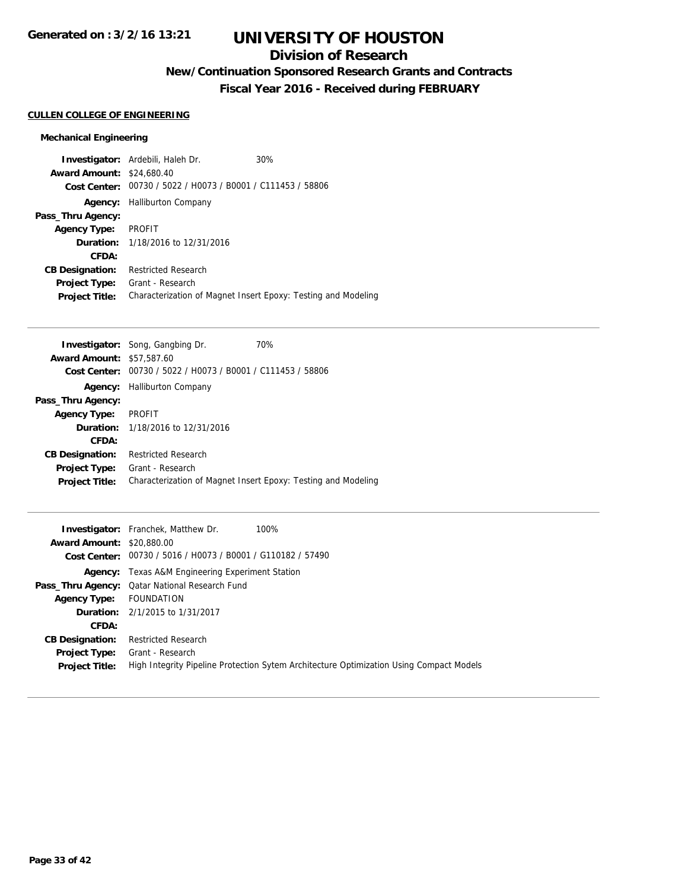## **Division of Research**

**New/Continuation Sponsored Research Grants and Contracts**

**Fiscal Year 2016 - Received during FEBRUARY**

### **CULLEN COLLEGE OF ENGINEERING**

### **Mechanical Engineering**

|                                  | <b>Investigator:</b> Ardebili, Haleh Dr.       | 30%                                                           |
|----------------------------------|------------------------------------------------|---------------------------------------------------------------|
| <b>Award Amount: \$24,680.40</b> |                                                |                                                               |
| Cost Center:                     | 00730 / 5022 / H0073 / B0001 / C111453 / 58806 |                                                               |
| Agency:                          | <b>Halliburton Company</b>                     |                                                               |
| Pass_Thru Agency:                |                                                |                                                               |
| <b>Agency Type:</b>              | <b>PROFIT</b>                                  |                                                               |
| Duration:                        | 1/18/2016 to 12/31/2016                        |                                                               |
| CFDA:                            |                                                |                                                               |
| <b>CB Designation:</b>           | <b>Restricted Research</b>                     |                                                               |
| <b>Project Type:</b>             | Grant - Research                               |                                                               |
| <b>Project Title:</b>            |                                                | Characterization of Magnet Insert Epoxy: Testing and Modeling |

|                        | <b>Investigator:</b> Song, Gangbing Dr.        | 70%                                                           |
|------------------------|------------------------------------------------|---------------------------------------------------------------|
| <b>Award Amount:</b>   | \$57,587.60                                    |                                                               |
| Cost Center:           | 00730 / 5022 / H0073 / B0001 / C111453 / 58806 |                                                               |
| Agency:                | <b>Halliburton Company</b>                     |                                                               |
| Pass_Thru Agency:      |                                                |                                                               |
| <b>Agency Type:</b>    | <b>PROFIT</b>                                  |                                                               |
|                        | <b>Duration:</b> 1/18/2016 to 12/31/2016       |                                                               |
| CFDA:                  |                                                |                                                               |
| <b>CB Designation:</b> | Restricted Research                            |                                                               |
| <b>Project Type:</b>   | Grant - Research                               |                                                               |
| <b>Project Title:</b>  |                                                | Characterization of Magnet Insert Epoxy: Testing and Modeling |
|                        |                                                |                                                               |

|                                  | <b>Investigator:</b> Franchek, Matthew Dr.<br>100%                                      |
|----------------------------------|-----------------------------------------------------------------------------------------|
| <b>Award Amount: \$20,880.00</b> |                                                                                         |
|                                  | Cost Center: 00730 / 5016 / H0073 / B0001 / G110182 / 57490                             |
|                                  | <b>Agency:</b> Texas A&M Engineering Experiment Station                                 |
|                                  | <b>Pass_Thru Agency:</b> Qatar National Research Fund                                   |
| <b>Agency Type:</b>              | FOUNDATION                                                                              |
|                                  | <b>Duration:</b> 2/1/2015 to 1/31/2017                                                  |
| <b>CFDA:</b>                     |                                                                                         |
| <b>CB Designation:</b>           | <b>Restricted Research</b>                                                              |
| <b>Project Type:</b>             | Grant - Research                                                                        |
| <b>Project Title:</b>            | High Integrity Pipeline Protection Sytem Architecture Optimization Using Compact Models |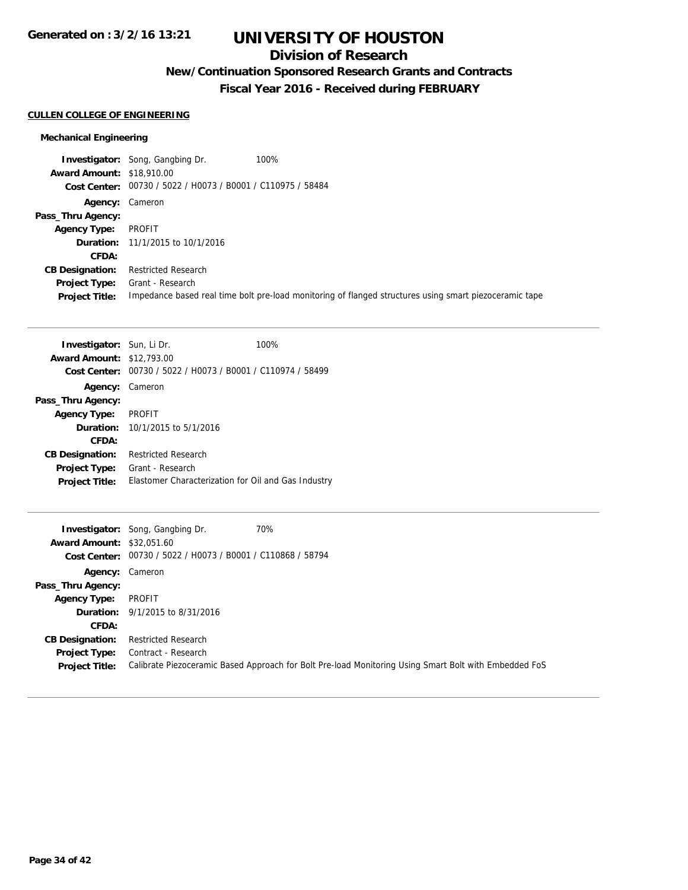## **Division of Research**

**New/Continuation Sponsored Research Grants and Contracts**

**Fiscal Year 2016 - Received during FEBRUARY**

### **CULLEN COLLEGE OF ENGINEERING**

### **Mechanical Engineering**

|                                  | <b>Investigator:</b> Song, Gangbing Dr.                     | 100%                                                                                                   |
|----------------------------------|-------------------------------------------------------------|--------------------------------------------------------------------------------------------------------|
| <b>Award Amount: \$18,910.00</b> |                                                             |                                                                                                        |
|                                  | Cost Center: 00730 / 5022 / H0073 / B0001 / C110975 / 58484 |                                                                                                        |
|                                  | Agency: Cameron                                             |                                                                                                        |
| Pass_Thru Agency:                |                                                             |                                                                                                        |
| <b>Agency Type:</b>              | PROFIT                                                      |                                                                                                        |
|                                  | <b>Duration:</b> 11/1/2015 to 10/1/2016                     |                                                                                                        |
| CFDA:                            |                                                             |                                                                                                        |
| <b>CB Designation:</b>           | <b>Restricted Research</b>                                  |                                                                                                        |
| <b>Project Type:</b>             | Grant - Research                                            |                                                                                                        |
| <b>Project Title:</b>            |                                                             | Impedance based real time bolt pre-load monitoring of flanged structures using smart piezoceramic tape |

| <b>Investigator:</b> Sun, Li Dr.<br><b>Award Amount: \$12,793.00</b> |                                                     | 100% |
|----------------------------------------------------------------------|-----------------------------------------------------|------|
| Cost Center:                                                         | 00730 / 5022 / H0073 / B0001 / C110974 / 58499      |      |
| Agency:                                                              | Cameron                                             |      |
| Pass_Thru Agency:                                                    |                                                     |      |
| <b>Agency Type:</b>                                                  | <b>PROFIT</b>                                       |      |
|                                                                      | <b>Duration:</b> $10/1/2015$ to $5/1/2016$          |      |
| CFDA:                                                                |                                                     |      |
| <b>CB Designation:</b>                                               | <b>Restricted Research</b>                          |      |
| <b>Project Type:</b>                                                 | Grant - Research                                    |      |
| <b>Project Title:</b>                                                | Elastomer Characterization for Oil and Gas Industry |      |
|                                                                      |                                                     |      |

|                                  | <b>Investigator:</b> Song, Gangbing Dr.                     | 70%                                                                                                   |
|----------------------------------|-------------------------------------------------------------|-------------------------------------------------------------------------------------------------------|
| <b>Award Amount: \$32,051.60</b> |                                                             |                                                                                                       |
|                                  | Cost Center: 00730 / 5022 / H0073 / B0001 / C110868 / 58794 |                                                                                                       |
| Agency: Cameron                  |                                                             |                                                                                                       |
| Pass_Thru Agency:                |                                                             |                                                                                                       |
| <b>Agency Type:</b>              | PROFIT                                                      |                                                                                                       |
|                                  | <b>Duration:</b> 9/1/2015 to 8/31/2016                      |                                                                                                       |
| <b>CFDA:</b>                     |                                                             |                                                                                                       |
| <b>CB Designation:</b>           | <b>Restricted Research</b>                                  |                                                                                                       |
| <b>Project Type:</b>             | Contract - Research                                         |                                                                                                       |
| <b>Project Title:</b>            |                                                             | Calibrate Piezoceramic Based Approach for Bolt Pre-load Monitoring Using Smart Bolt with Embedded FoS |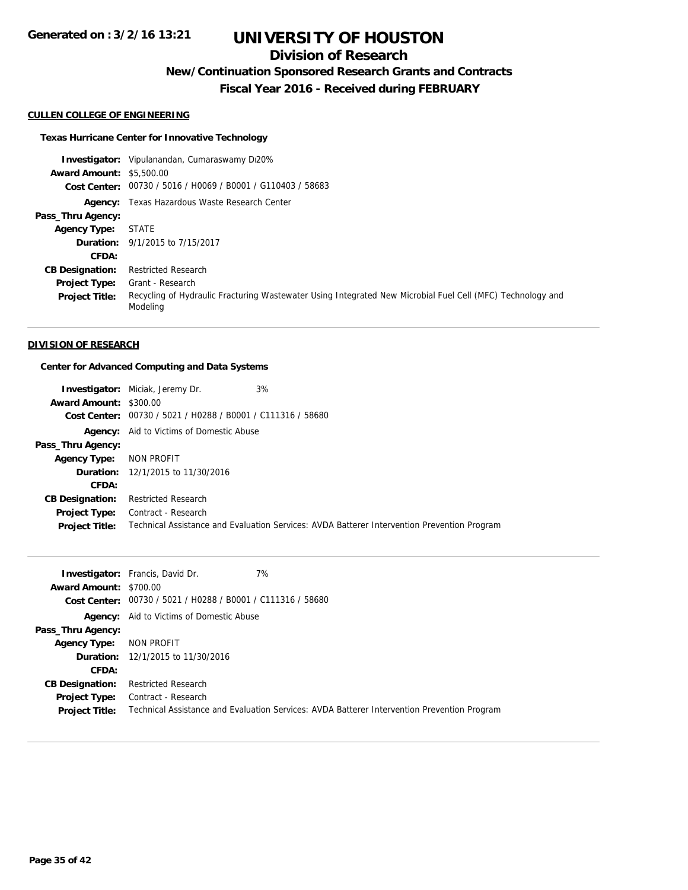## **Division of Research**

**New/Continuation Sponsored Research Grants and Contracts**

**Fiscal Year 2016 - Received during FEBRUARY**

#### **CULLEN COLLEGE OF ENGINEERING**

#### **Texas Hurricane Center for Innovative Technology**

**Investigator:** Vipulanandan, Cumaraswamy Di20% **Award Amount:** \$5,500.00 **Cost Center:** 00730 / 5016 / H0069 / B0001 / G110403 / 58683 **Agency:** Texas Hazardous Waste Research Center **Pass\_Thru Agency: Agency Type:** STATE **Duration:** 9/1/2015 to 7/15/2017 **CFDA: CB Designation:** Restricted Research **Project Type:** Grant - Research **Project Title:** Recycling of Hydraulic Fracturing Wastewater Using Integrated New Microbial Fuel Cell (MFC) Technology and Modeling

#### **DIVISION OF RESEARCH**

#### **Center for Advanced Computing and Data Systems**

| <b>Award Amount: \$300.00</b> | 3%<br><b>Investigator:</b> Miciak, Jeremy Dr.<br>Cost Center: 00730 / 5021 / H0288 / B0001 / C111316 / 58680 |                                                                                             |
|-------------------------------|--------------------------------------------------------------------------------------------------------------|---------------------------------------------------------------------------------------------|
|                               | <b>Agency:</b> Aid to Victims of Domestic Abuse                                                              |                                                                                             |
| Pass_Thru Agency:             |                                                                                                              |                                                                                             |
| <b>Agency Type:</b>           | NON PROFIT                                                                                                   |                                                                                             |
|                               | <b>Duration:</b> 12/1/2015 to 11/30/2016                                                                     |                                                                                             |
| CFDA:                         |                                                                                                              |                                                                                             |
| <b>CB Designation:</b>        | <b>Restricted Research</b>                                                                                   |                                                                                             |
| <b>Project Type:</b>          | Contract - Research                                                                                          |                                                                                             |
| <b>Project Title:</b>         |                                                                                                              | Technical Assistance and Evaluation Services: AVDA Batterer Intervention Prevention Program |

|                        | 7%<br><b>Investigator:</b> Francis, David Dr.                                               |
|------------------------|---------------------------------------------------------------------------------------------|
| Award Amount: \$700.00 |                                                                                             |
|                        | Cost Center: 00730 / 5021 / H0288 / B0001 / C111316 / 58680                                 |
|                        | <b>Agency:</b> Aid to Victims of Domestic Abuse                                             |
| Pass_Thru Agency:      |                                                                                             |
| <b>Agency Type:</b>    | NON PROFIT                                                                                  |
|                        | <b>Duration:</b> 12/1/2015 to 11/30/2016                                                    |
| CFDA:                  |                                                                                             |
| <b>CB Designation:</b> | <b>Restricted Research</b>                                                                  |
| <b>Project Type:</b>   | Contract - Research                                                                         |
| <b>Project Title:</b>  | Technical Assistance and Evaluation Services: AVDA Batterer Intervention Prevention Program |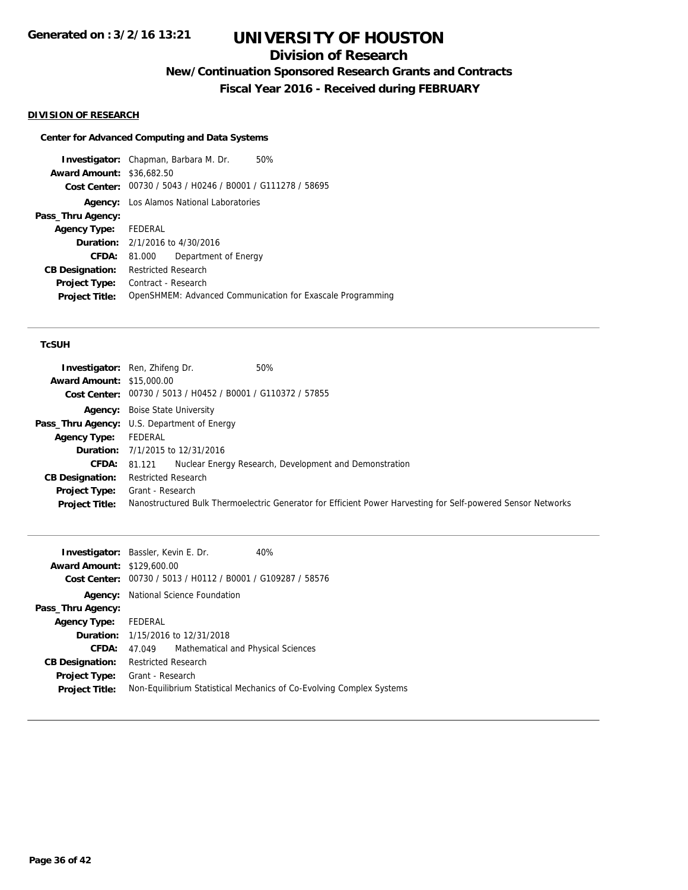## **Division of Research**

**New/Continuation Sponsored Research Grants and Contracts**

**Fiscal Year 2016 - Received during FEBRUARY**

#### **DIVISION OF RESEARCH**

### **Center for Advanced Computing and Data Systems**

**Investigator:** Chapman, Barbara M. Dr. 50% **Award Amount:** \$36,682.50 **Cost Center:** 00730 / 5043 / H0246 / B0001 / G111278 / 58695 **Agency:** Los Alamos National Laboratories **Pass\_Thru Agency: Agency Type:** FEDERAL **Duration:** 2/1/2016 to 4/30/2016 **CFDA:** 81.000 Department of Energy **CB Designation:** Restricted Research **Project Type:** Contract - Research **Project Title:** OpenSHMEM: Advanced Communication for Exascale Programming

### **TcSUH**

| <b>Award Amount: \$15,000.00</b> | <b>Investigator:</b> Ren, Zhifeng Dr.<br>50%<br>Cost Center: 00730 / 5013 / H0452 / B0001 / G110372 / 57855  |  |
|----------------------------------|--------------------------------------------------------------------------------------------------------------|--|
|                                  | <b>Agency:</b> Boise State University                                                                        |  |
|                                  | Pass_Thru Agency: U.S. Department of Energy                                                                  |  |
| <b>Agency Type:</b>              | FEDERAL                                                                                                      |  |
|                                  | <b>Duration:</b> 7/1/2015 to 12/31/2016                                                                      |  |
|                                  | Nuclear Energy Research, Development and Demonstration<br><b>CFDA:</b> 81.121                                |  |
| <b>CB Designation:</b>           | <b>Restricted Research</b>                                                                                   |  |
| <b>Project Type:</b>             | Grant - Research                                                                                             |  |
| <b>Project Title:</b>            | Nanostructured Bulk Thermoelectric Generator for Efficient Power Harvesting for Self-powered Sensor Networks |  |

| <b>Investigator:</b> Bassler, Kevin E. Dr. |                            |                                                | 40%                                                                  |
|--------------------------------------------|----------------------------|------------------------------------------------|----------------------------------------------------------------------|
| <b>Award Amount: \$129,600.00</b>          |                            |                                                |                                                                      |
| Cost Center:                               |                            | 00730 / 5013 / H0112 / B0001 / G109287 / 58576 |                                                                      |
| Agency:                                    |                            | National Science Foundation                    |                                                                      |
| Pass_Thru Agency:                          |                            |                                                |                                                                      |
| <b>Agency Type:</b>                        | FEDERAL                    |                                                |                                                                      |
|                                            |                            | <b>Duration:</b> 1/15/2016 to 12/31/2018       |                                                                      |
| CFDA:                                      | 47.049                     | Mathematical and Physical Sciences             |                                                                      |
| <b>CB Designation:</b>                     | <b>Restricted Research</b> |                                                |                                                                      |
| <b>Project Type:</b> Grant - Research      |                            |                                                |                                                                      |
| <b>Project Title:</b>                      |                            |                                                | Non-Equilibrium Statistical Mechanics of Co-Evolving Complex Systems |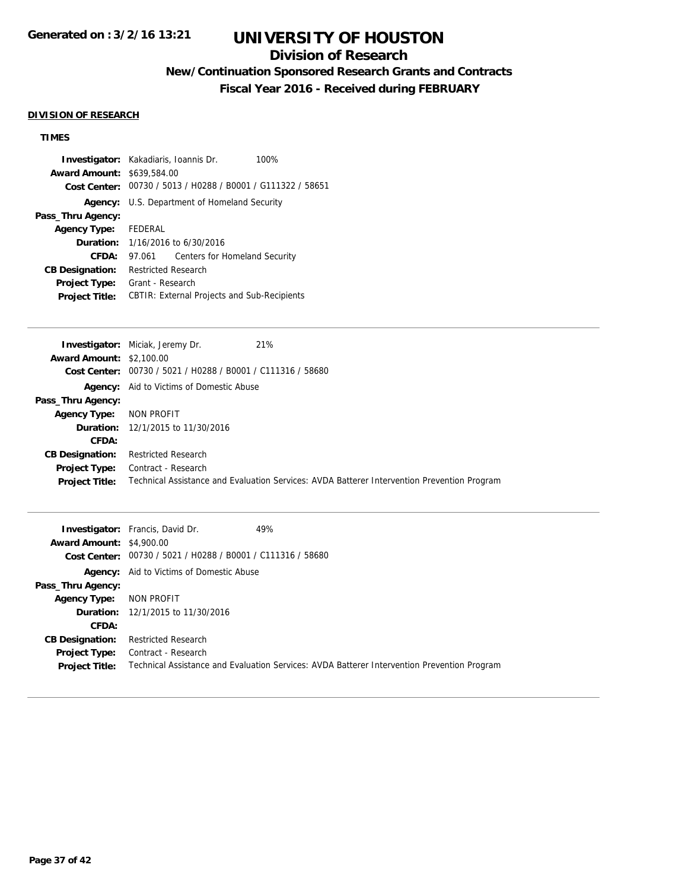## **Division of Research**

## **New/Continuation Sponsored Research Grants and Contracts**

**Fiscal Year 2016 - Received during FEBRUARY**

#### **DIVISION OF RESEARCH**

## **TIMES**

|                                   | <b>Investigator:</b> Kakadiaris, Ioannis Dr.<br>100%        |
|-----------------------------------|-------------------------------------------------------------|
| <b>Award Amount: \$639,584.00</b> |                                                             |
|                                   | Cost Center: 00730 / 5013 / H0288 / B0001 / G111322 / 58651 |
|                                   | <b>Agency:</b> U.S. Department of Homeland Security         |
| Pass_Thru Agency:                 |                                                             |
| Agency Type: FEDERAL              |                                                             |
|                                   | <b>Duration:</b> $1/16/2016$ to $6/30/2016$                 |
| CFDA:                             | Centers for Homeland Security<br>97.061                     |
| <b>CB Designation:</b>            | Restricted Research                                         |
| <b>Project Type:</b>              | Grant - Research                                            |
| <b>Project Title:</b>             | <b>CBTIR: External Projects and Sub-Recipients</b>          |
|                                   |                                                             |

|                                 | <b>Investigator:</b> Miciak, Jeremy Dr.<br>21%                                              |
|---------------------------------|---------------------------------------------------------------------------------------------|
| <b>Award Amount: \$2,100.00</b> |                                                                                             |
|                                 | Cost Center: 00730 / 5021 / H0288 / B0001 / C111316 / 58680                                 |
|                                 | <b>Agency:</b> Aid to Victims of Domestic Abuse                                             |
| Pass_Thru Agency:               |                                                                                             |
| <b>Agency Type:</b>             | NON PROFIT                                                                                  |
|                                 | <b>Duration:</b> 12/1/2015 to 11/30/2016                                                    |
| CFDA:                           |                                                                                             |
| <b>CB Designation:</b>          | <b>Restricted Research</b>                                                                  |
|                                 | <b>Project Type:</b> Contract - Research                                                    |
| <b>Project Title:</b>           | Technical Assistance and Evaluation Services: AVDA Batterer Intervention Prevention Program |
|                                 |                                                                                             |

|                                 | 49%<br><b>Investigator:</b> Francis, David Dr.                                              |
|---------------------------------|---------------------------------------------------------------------------------------------|
| <b>Award Amount: \$4,900.00</b> |                                                                                             |
|                                 | Cost Center: 00730 / 5021 / H0288 / B0001 / C111316 / 58680                                 |
|                                 | <b>Agency:</b> Aid to Victims of Domestic Abuse                                             |
| Pass_Thru Agency:               |                                                                                             |
| <b>Agency Type:</b>             | NON PROFIT                                                                                  |
|                                 | <b>Duration:</b> 12/1/2015 to 11/30/2016                                                    |
| CFDA:                           |                                                                                             |
| <b>CB Designation:</b>          | <b>Restricted Research</b>                                                                  |
| <b>Project Type:</b>            | Contract - Research                                                                         |
| <b>Project Title:</b>           | Technical Assistance and Evaluation Services: AVDA Batterer Intervention Prevention Program |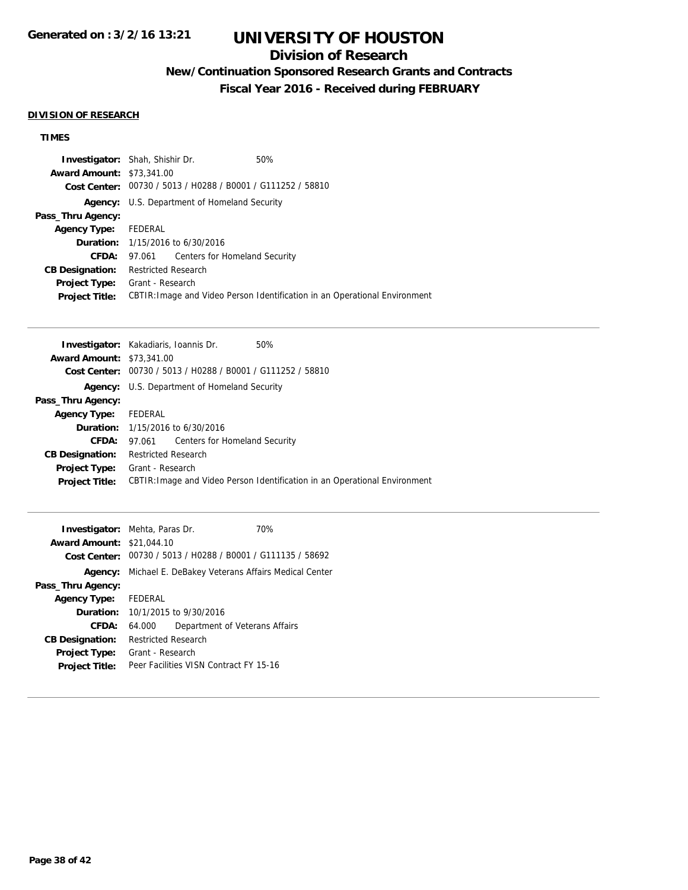## **Division of Research**

## **New/Continuation Sponsored Research Grants and Contracts**

**Fiscal Year 2016 - Received during FEBRUARY**

#### **DIVISION OF RESEARCH**

## **TIMES**

| <b>Investigator:</b> Shah, Shishir Dr. |                            |                                                     | 50%                                                                        |
|----------------------------------------|----------------------------|-----------------------------------------------------|----------------------------------------------------------------------------|
| <b>Award Amount: \$73,341.00</b>       |                            |                                                     |                                                                            |
|                                        |                            |                                                     | Cost Center: 00730 / 5013 / H0288 / B0001 / G111252 / 58810                |
|                                        |                            | <b>Agency:</b> U.S. Department of Homeland Security |                                                                            |
| Pass_Thru Agency:                      |                            |                                                     |                                                                            |
| Agency Type: FEDERAL                   |                            |                                                     |                                                                            |
|                                        |                            | <b>Duration:</b> 1/15/2016 to 6/30/2016             |                                                                            |
| <b>CFDA:</b>                           |                            | 97.061 Centers for Homeland Security                |                                                                            |
| <b>CB Designation:</b>                 | <b>Restricted Research</b> |                                                     |                                                                            |
| <b>Project Type:</b>                   | Grant - Research           |                                                     |                                                                            |
| <b>Project Title:</b>                  |                            |                                                     | CBTIR: Image and Video Person Identification in an Operational Environment |

|                                  | <b>Investigator:</b> Kakadiaris, Ioannis Dr.<br>50%                        |
|----------------------------------|----------------------------------------------------------------------------|
| <b>Award Amount: \$73,341,00</b> |                                                                            |
| <b>Cost Center:</b>              | 00730 / 5013 / H0288 / B0001 / G111252 / 58810                             |
|                                  | <b>Agency:</b> U.S. Department of Homeland Security                        |
| Pass_Thru Agency:                |                                                                            |
| <b>Agency Type:</b>              | FEDERAL                                                                    |
|                                  | <b>Duration:</b> 1/15/2016 to 6/30/2016                                    |
| CFDA:                            | 97.061 Centers for Homeland Security                                       |
| <b>CB Designation:</b>           | <b>Restricted Research</b>                                                 |
| <b>Project Type:</b>             | Grant - Research                                                           |
| <b>Project Title:</b>            | CBTIR: Image and Video Person Identification in an Operational Environment |
|                                  |                                                                            |

| <b>Investigator:</b> Mehta, Paras Dr.<br><b>Award Amount: \$21,044.10</b> |                            |                                                                   | 70% |
|---------------------------------------------------------------------------|----------------------------|-------------------------------------------------------------------|-----|
|                                                                           |                            | Cost Center: 00730 / 5013 / H0288 / B0001 / G111135 / 58692       |     |
|                                                                           |                            | <b>Agency:</b> Michael E. DeBakey Veterans Affairs Medical Center |     |
| Pass_Thru Agency:                                                         |                            |                                                                   |     |
| Agency Type: FEDERAL                                                      |                            |                                                                   |     |
|                                                                           |                            | <b>Duration:</b> 10/1/2015 to 9/30/2016                           |     |
| CFDA:                                                                     | 64.000                     | Department of Veterans Affairs                                    |     |
| <b>CB Designation:</b>                                                    | <b>Restricted Research</b> |                                                                   |     |
| <b>Project Type:</b>                                                      | Grant - Research           |                                                                   |     |
| <b>Project Title:</b>                                                     |                            | Peer Facilities VISN Contract FY 15-16                            |     |
|                                                                           |                            |                                                                   |     |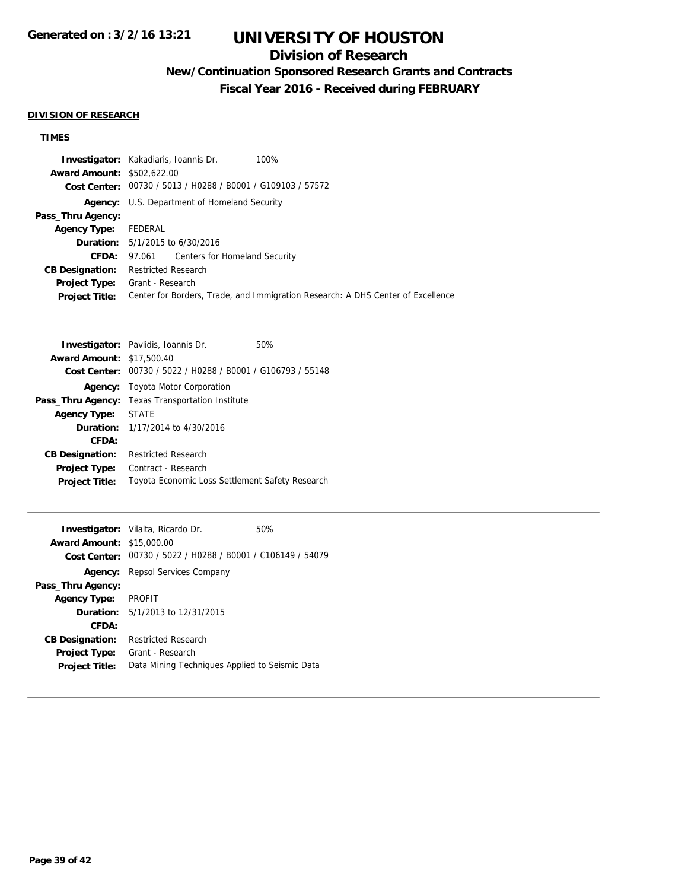## **Division of Research**

## **New/Continuation Sponsored Research Grants and Contracts**

**Fiscal Year 2016 - Received during FEBRUARY**

### **DIVISION OF RESEARCH**

## **TIMES**

|                                   | 100%<br><b>Investigator:</b> Kakadiaris, Ioannis Dr.                            |
|-----------------------------------|---------------------------------------------------------------------------------|
| <b>Award Amount: \$502,622.00</b> |                                                                                 |
|                                   | Cost Center: 00730 / 5013 / H0288 / B0001 / G109103 / 57572                     |
|                                   | <b>Agency:</b> U.S. Department of Homeland Security                             |
| Pass_Thru Agency:                 |                                                                                 |
| <b>Agency Type:</b>               | FEDERAL                                                                         |
|                                   | <b>Duration:</b> $5/1/2015$ to $6/30/2016$                                      |
| CFDA:                             | 97.061 Centers for Homeland Security                                            |
| <b>CB Designation:</b>            | Restricted Research                                                             |
| <b>Project Type:</b>              | Grant - Research                                                                |
| <b>Project Title:</b>             | Center for Borders, Trade, and Immigration Research: A DHS Center of Excellence |

|                                  | <b>Investigator:</b> Pavlidis, Ioannis Dr.                  | 50% |
|----------------------------------|-------------------------------------------------------------|-----|
| <b>Award Amount: \$17,500.40</b> |                                                             |     |
|                                  | Cost Center: 00730 / 5022 / H0288 / B0001 / G106793 / 55148 |     |
|                                  | <b>Agency:</b> Toyota Motor Corporation                     |     |
| Pass_Thru Agency:                | <b>Texas Transportation Institute</b>                       |     |
| <b>Agency Type:</b>              | <b>STATE</b>                                                |     |
|                                  | <b>Duration:</b> 1/17/2014 to 4/30/2016                     |     |
| CFDA:                            |                                                             |     |
| <b>CB Designation:</b>           | <b>Restricted Research</b>                                  |     |
| <b>Project Type:</b>             | Contract - Research                                         |     |
| <b>Project Title:</b>            | Toyota Economic Loss Settlement Safety Research             |     |

| <b>Award Amount: \$15,000.00</b> | <b>Investigator:</b> Vilalta, Ricardo Dr.                   | 50% |
|----------------------------------|-------------------------------------------------------------|-----|
|                                  | Cost Center: 00730 / 5022 / H0288 / B0001 / C106149 / 54079 |     |
|                                  | <b>Agency:</b> Repsol Services Company                      |     |
| Pass_Thru Agency:                |                                                             |     |
| <b>Agency Type:</b>              | <b>PROFIT</b>                                               |     |
|                                  | <b>Duration:</b> $5/1/2013$ to $12/31/2015$                 |     |
| CFDA:                            |                                                             |     |
| <b>CB Designation:</b>           | <b>Restricted Research</b>                                  |     |
| <b>Project Type:</b>             | Grant - Research                                            |     |
| <b>Project Title:</b>            | Data Mining Techniques Applied to Seismic Data              |     |
|                                  |                                                             |     |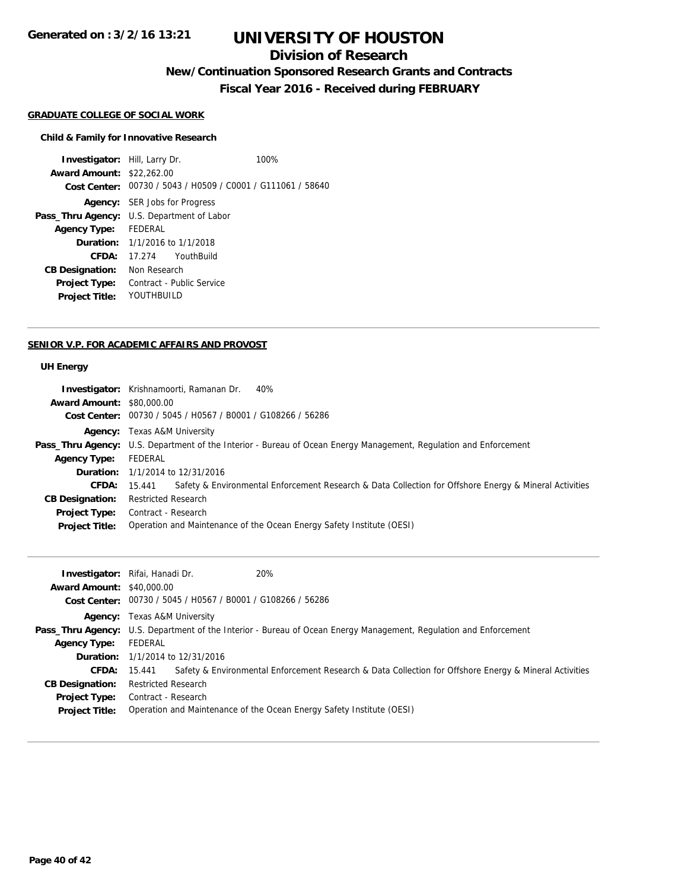### **Division of Research**

**New/Continuation Sponsored Research Grants and Contracts**

**Fiscal Year 2016 - Received during FEBRUARY**

#### **GRADUATE COLLEGE OF SOCIAL WORK**

#### **Child & Family for Innovative Research**

**Investigator:** Hill, Larry Dr. 100% **Award Amount:** \$22,262.00 **Cost Center:** 00730 / 5043 / H0509 / C0001 / G111061 / 58640 **Agency:** SER Jobs for Progress **Pass\_Thru Agency:** U.S. Department of Labor **Agency Type:** FEDERAL **Duration:** 1/1/2016 to 1/1/2018 **CFDA:** 17.274 YouthBuild **CB Designation:** Non Research **Project Type:** Contract - Public Service **Project Title:** YOUTHBUILD

#### **SENIOR V.P. FOR ACADEMIC AFFAIRS AND PROVOST**

#### **UH Energy**

|                                  | <b>Investigator:</b> Krishnamoorti, Ramanan Dr.<br>40%                                                                   |
|----------------------------------|--------------------------------------------------------------------------------------------------------------------------|
| <b>Award Amount: \$80,000.00</b> |                                                                                                                          |
|                                  | Cost Center: 00730 / 5045 / H0567 / B0001 / G108266 / 56286                                                              |
|                                  | <b>Agency:</b> Texas A&M University                                                                                      |
|                                  | <b>Pass_Thru Agency:</b> U.S. Department of the Interior - Bureau of Ocean Energy Management, Regulation and Enforcement |
| <b>Agency Type:</b>              | FEDERAL                                                                                                                  |
|                                  | <b>Duration:</b> 1/1/2014 to 12/31/2016                                                                                  |
| <b>CFDA:</b> $15.441$            | Safety & Environmental Enforcement Research & Data Collection for Offshore Energy & Mineral Activities                   |
| <b>CB Designation:</b>           | <b>Restricted Research</b>                                                                                               |
|                                  | <b>Project Type:</b> Contract - Research                                                                                 |
| <b>Project Title:</b>            | Operation and Maintenance of the Ocean Energy Safety Institute (OESI)                                                    |

|                                  | 20%<br><b>Investigator:</b> Rifai, Hanadi Dr.                                                                     |                                                                                                        |  |
|----------------------------------|-------------------------------------------------------------------------------------------------------------------|--------------------------------------------------------------------------------------------------------|--|
| <b>Award Amount: \$40,000.00</b> |                                                                                                                   |                                                                                                        |  |
|                                  | Cost Center: 00730 / 5045 / H0567 / B0001 / G108266 / 56286                                                       |                                                                                                        |  |
|                                  | <b>Agency:</b> Texas A&M University                                                                               |                                                                                                        |  |
|                                  | Pass_Thru Agency: U.S. Department of the Interior - Bureau of Ocean Energy Management, Regulation and Enforcement |                                                                                                        |  |
| <b>Agency Type:</b>              | FEDERAL                                                                                                           |                                                                                                        |  |
|                                  | <b>Duration:</b> 1/1/2014 to 12/31/2016                                                                           |                                                                                                        |  |
| CFDA:                            | 15.441                                                                                                            | Safety & Environmental Enforcement Research & Data Collection for Offshore Energy & Mineral Activities |  |
| <b>CB Designation:</b>           | <b>Restricted Research</b>                                                                                        |                                                                                                        |  |
| <b>Project Type:</b>             | Contract - Research                                                                                               |                                                                                                        |  |
| <b>Project Title:</b>            | Operation and Maintenance of the Ocean Energy Safety Institute (OESI)                                             |                                                                                                        |  |
|                                  |                                                                                                                   |                                                                                                        |  |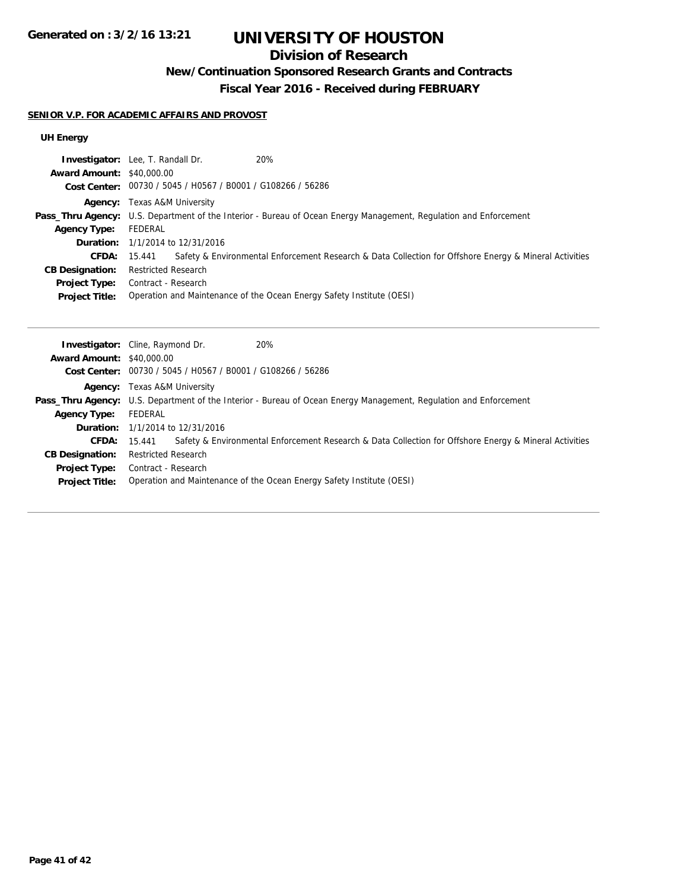## **Division of Research**

## **New/Continuation Sponsored Research Grants and Contracts**

**Fiscal Year 2016 - Received during FEBRUARY**

#### **SENIOR V.P. FOR ACADEMIC AFFAIRS AND PROVOST**

### **UH Energy**

| 20%<br><b>Investigator:</b> Lee, T. Randall Dr.                                                                          |  |  |
|--------------------------------------------------------------------------------------------------------------------------|--|--|
| <b>Award Amount: \$40,000.00</b>                                                                                         |  |  |
| Cost Center: 00730 / 5045 / H0567 / B0001 / G108266 / 56286                                                              |  |  |
| <b>Agency:</b> Texas A&M University                                                                                      |  |  |
| <b>Pass_Thru Agency:</b> U.S. Department of the Interior - Bureau of Ocean Energy Management, Regulation and Enforcement |  |  |
| FEDERAL                                                                                                                  |  |  |
| <b>Duration:</b> 1/1/2014 to 12/31/2016                                                                                  |  |  |
| Safety & Environmental Enforcement Research & Data Collection for Offshore Energy & Mineral Activities<br>15.441         |  |  |
| <b>Restricted Research</b>                                                                                               |  |  |
| Contract - Research<br><b>Project Type:</b>                                                                              |  |  |
| Operation and Maintenance of the Ocean Energy Safety Institute (OESI)                                                    |  |  |
|                                                                                                                          |  |  |

|                                  | 20%<br><b>Investigator:</b> Cline, Raymond Dr.                                                                           |  |  |
|----------------------------------|--------------------------------------------------------------------------------------------------------------------------|--|--|
| <b>Award Amount: \$40,000.00</b> |                                                                                                                          |  |  |
|                                  | Cost Center: 00730 / 5045 / H0567 / B0001 / G108266 / 56286                                                              |  |  |
|                                  | <b>Agency:</b> Texas A&M University                                                                                      |  |  |
|                                  | <b>Pass_Thru Agency:</b> U.S. Department of the Interior - Bureau of Ocean Energy Management, Regulation and Enforcement |  |  |
| <b>Agency Type:</b>              | FEDERAL                                                                                                                  |  |  |
|                                  | <b>Duration:</b> 1/1/2014 to 12/31/2016                                                                                  |  |  |
| <b>CFDA:</b>                     | Safety & Environmental Enforcement Research & Data Collection for Offshore Energy & Mineral Activities<br>15.441         |  |  |
| <b>CB Designation:</b>           | <b>Restricted Research</b>                                                                                               |  |  |
| <b>Project Type:</b>             | Contract - Research                                                                                                      |  |  |
| <b>Project Title:</b>            | Operation and Maintenance of the Ocean Energy Safety Institute (OESI)                                                    |  |  |